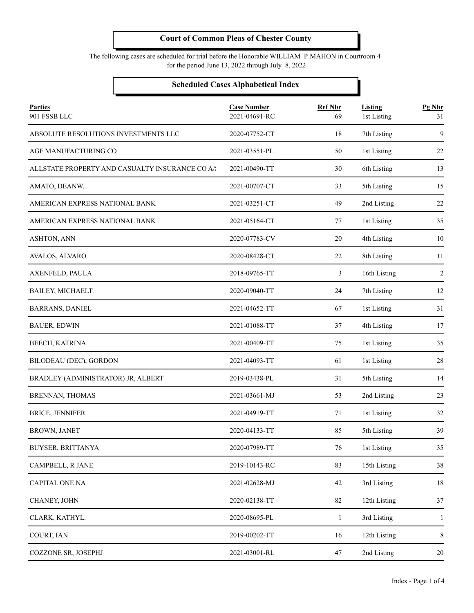The following cases are scheduled for trial before the Honorable WILLIAM P.MAHON in Courtroom 4 for the period June 13, 2022 through July 8, 2022

#### **Scheduled Cases Alphabetical Index**

| <b>Parties</b><br>901 FSSB LLC                  | <b>Case Number</b><br>2021-04691-RC | <b>Ref Nbr</b><br>69 | <b>Listing</b><br>1st Listing | Pg Nbr<br>31   |
|-------------------------------------------------|-------------------------------------|----------------------|-------------------------------|----------------|
| ABSOLUTE RESOLUTIONS INVESTMENTS LLC            | 2020-07752-CT                       | 18                   | 7th Listing                   | 9              |
| AGF MANUFACTURING CO                            | 2021-03551-PL                       | 50                   | 1st Listing                   | 22             |
| ALLSTATE PROPERTY AND CASUALTY INSURANCE CO A/: | 2021-00490-TT                       | 30                   | 6th Listing                   | 13             |
| AMATO, DEANW.                                   | 2021-00707-CT                       | 33                   | 5th Listing                   | 15             |
| AMERICAN EXPRESS NATIONAL BANK                  | 2021-03251-CT                       | 49                   | 2nd Listing                   | 22             |
| AMERICAN EXPRESS NATIONAL BANK                  | 2021-05164-CT                       | 77                   | 1st Listing                   | 35             |
| ASHTON, ANN                                     | 2020-07783-CV                       | 20                   | 4th Listing                   | 10             |
| AVALOS, ALVARO                                  | 2020-08428-CT                       | 22                   | 8th Listing                   | 11             |
| AXENFELD, PAULA                                 | 2018-09765-TT                       | 3                    | 16th Listing                  | $\overline{2}$ |
| BAILEY, MICHAELT.                               | 2020-09040-TT                       | 24                   | 7th Listing                   | 12             |
| <b>BARRANS, DANIEL</b>                          | 2021-04652-TT                       | 67                   | 1st Listing                   | 31             |
| <b>BAUER, EDWIN</b>                             | 2021-01088-TT                       | 37                   | 4th Listing                   | 17             |
| BEECH, KATRINA                                  | 2021-00409-TT                       | 75                   | 1st Listing                   | 35             |
| BILODEAU (DEC), GORDON                          | 2021-04093-TT                       | 61                   | 1st Listing                   | 28             |
| BRADLEY (ADMINISTRATOR) JR, ALBERT              | 2019-03438-PL                       | 31                   | 5th Listing                   | 14             |
| BRENNAN, THOMAS                                 | 2021-03661-MJ                       | 53                   | 2nd Listing                   | 23             |
| <b>BRICE, JENNIFER</b>                          | 2021-04919-TT                       | 71                   | 1st Listing                   | 32             |
| <b>BROWN, JANET</b>                             | 2020-04133-TT                       | 85                   | 5th Listing                   | 39             |
| BUYSER, BRITTANYA                               | 2020-07989-TT                       | 76                   | 1st Listing                   | 35             |
| CAMPBELL, R JANE                                | 2019-10143-RC                       | 83                   | 15th Listing                  | 38             |
| <b>CAPITAL ONE NA</b>                           | 2021-02628-MJ                       | 42                   | 3rd Listing                   | 18             |
| CHANEY, JOHN                                    | 2020-02138-TT                       | 82                   | 12th Listing                  | 37             |
| CLARK, KATHYL.                                  | 2020-08695-PL                       | $\mathbf{1}$         | 3rd Listing                   | 1              |
| COURT, IAN                                      | 2019-00202-TT                       | 16                   | 12th Listing                  | 8              |
| COZZONE SR, JOSEPHJ                             | 2021-03001-RL                       | 47                   | 2nd Listing                   | 20             |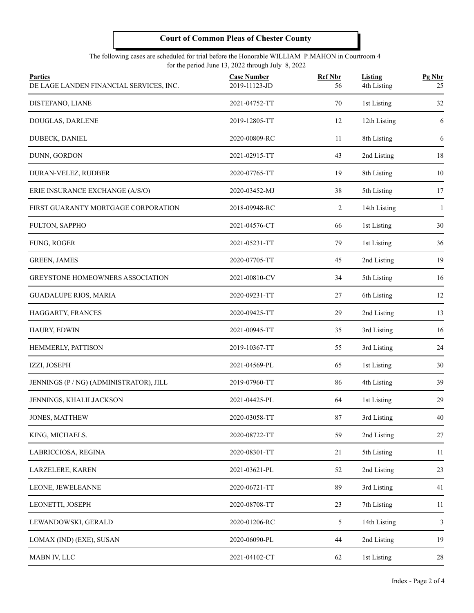#### The following cases are scheduled for trial before the Honorable WILLIAM P.MAHON in Courtroom 4 for the period June 13, 2022 through July 8, 2022

| <b>Parties</b><br>DE LAGE LANDEN FINANCIAL SERVICES, INC. | <b>Case Number</b><br>2019-11123-JD | <b>Ref Nbr</b><br>56 | <b>Listing</b><br>4th Listing | Pg Nbr<br>25 |
|-----------------------------------------------------------|-------------------------------------|----------------------|-------------------------------|--------------|
| DISTEFANO, LIANE                                          | 2021-04752-TT                       | 70                   | 1st Listing                   | 32           |
| DOUGLAS, DARLENE                                          | 2019-12805-TT                       | 12                   | 12th Listing                  | 6            |
| DUBECK, DANIEL                                            | 2020-00809-RC                       | 11                   | 8th Listing                   | 6            |
| DUNN, GORDON                                              | 2021-02915-TT                       | 43                   | 2nd Listing                   | 18           |
| DURAN-VELEZ, RUDBER                                       | 2020-07765-TT                       | 19                   | 8th Listing                   | 10           |
| ERIE INSURANCE EXCHANGE (A/S/O)                           | 2020-03452-MJ                       | 38                   | 5th Listing                   | 17           |
| FIRST GUARANTY MORTGAGE CORPORATION                       | 2018-09948-RC                       | 2                    | 14th Listing                  | 1            |
| FULTON, SAPPHO                                            | 2021-04576-CT                       | 66                   | 1st Listing                   | 30           |
| FUNG, ROGER                                               | 2021-05231-TT                       | 79                   | 1st Listing                   | 36           |
| <b>GREEN, JAMES</b>                                       | 2020-07705-TT                       | 45                   | 2nd Listing                   | 19           |
| GREYSTONE HOMEOWNERS ASSOCIATION                          | 2021-00810-CV                       | 34                   | 5th Listing                   | 16           |
| <b>GUADALUPE RIOS, MARIA</b>                              | 2020-09231-TT                       | 27                   | 6th Listing                   | 12           |
| HAGGARTY, FRANCES                                         | 2020-09425-TT                       | 29                   | 2nd Listing                   | 13           |
| HAURY, EDWIN                                              | 2021-00945-TT                       | 35                   | 3rd Listing                   | 16           |
| HEMMERLY, PATTISON                                        | 2019-10367-TT                       | 55                   | 3rd Listing                   | 24           |
| IZZI, JOSEPH                                              | 2021-04569-PL                       | 65                   | 1st Listing                   | 30           |
| JENNINGS (P / NG) (ADMINISTRATOR), JILL                   | 2019-07960-TT                       | 86                   | 4th Listing                   | 39           |
| JENNINGS, KHALILJACKSON                                   | 2021-04425-PL                       | 64                   | 1st Listing                   | 29           |
| JONES, MATTHEW                                            | 2020-03058-TT                       | 87                   | 3rd Listing                   | 40           |
| KING, MICHAELS.                                           | 2020-08722-TT                       | 59                   | 2nd Listing                   | 27           |
| LABRICCIOSA, REGINA                                       | 2020-08301-TT                       | 21                   | 5th Listing                   | 11           |
| LARZELERE, KAREN                                          | 2021-03621-PL                       | 52                   | 2nd Listing                   | 23           |
| LEONE, JEWELEANNE                                         | 2020-06721-TT                       | 89                   | 3rd Listing                   | 41           |
| LEONETTI, JOSEPH                                          | 2020-08708-TT                       | 23                   | 7th Listing                   | 11           |
| LEWANDOWSKI, GERALD                                       | 2020-01206-RC                       | 5                    | 14th Listing                  | 3            |
| LOMAX (IND) (EXE), SUSAN                                  | 2020-06090-PL                       | 44                   | 2nd Listing                   | 19           |
| MABN IV, LLC                                              | 2021-04102-CT                       | 62                   | 1st Listing                   | 28           |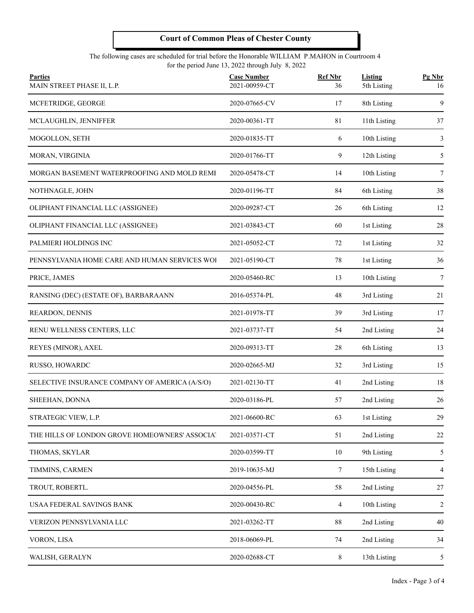#### The following cases are scheduled for trial before the Honorable WILLIAM P.MAHON in Courtroom 4 for the period June 13, 2022 through July 8, 2022

| <b>Parties</b><br>MAIN STREET PHASE II, L.P.   | <b>Case Number</b><br>2021-00959-CT | <b>Ref Nbr</b><br>36 | <b>Listing</b><br>5th Listing | Pg Nbr<br>16 |
|------------------------------------------------|-------------------------------------|----------------------|-------------------------------|--------------|
| MCFETRIDGE, GEORGE                             | 2020-07665-CV                       | 17                   | 8th Listing                   | 9            |
| MCLAUGHLIN, JENNIFFER                          | 2020-00361-TT                       | 81                   | 11th Listing                  | 37           |
| MOGOLLON, SETH                                 | 2020-01835-TT                       | 6                    | 10th Listing                  | 3            |
| MORAN, VIRGINIA                                | 2020-01766-TT                       | 9                    | 12th Listing                  | 5            |
| MORGAN BASEMENT WATERPROOFING AND MOLD REMI    | 2020-05478-CT                       | 14                   | 10th Listing                  | 7            |
| NOTHNAGLE, JOHN                                | 2020-01196-TT                       | 84                   | 6th Listing                   | 38           |
| OLIPHANT FINANCIAL LLC (ASSIGNEE)              | 2020-09287-CT                       | 26                   | 6th Listing                   | 12           |
| OLIPHANT FINANCIAL LLC (ASSIGNEE)              | 2021-03843-CT                       | 60                   | 1st Listing                   | 28           |
| PALMIERI HOLDINGS INC                          | 2021-05052-CT                       | 72                   | 1st Listing                   | 32           |
| PENNSYLVANIA HOME CARE AND HUMAN SERVICES WOL  | 2021-05190-CT                       | 78                   | 1st Listing                   | 36           |
| PRICE, JAMES                                   | 2020-05460-RC                       | 13                   | 10th Listing                  | 7            |
| RANSING (DEC) (ESTATE OF), BARBARAANN          | 2016-05374-PL                       | 48                   | 3rd Listing                   | 21           |
| REARDON, DENNIS                                | 2021-01978-TT                       | 39                   | 3rd Listing                   | 17           |
| RENU WELLNESS CENTERS, LLC                     | 2021-03737-TT                       | 54                   | 2nd Listing                   | 24           |
| REYES (MINOR), AXEL                            | 2020-09313-TT                       | 28                   | 6th Listing                   | 13           |
| RUSSO, HOWARDC                                 | 2020-02665-MJ                       | 32                   | 3rd Listing                   | 15           |
| SELECTIVE INSURANCE COMPANY OF AMERICA (A/S/O) | 2021-02130-TT                       | 41                   | 2nd Listing                   | 18           |
| SHEEHAN, DONNA                                 | 2020-03186-PL                       | 57                   | 2nd Listing                   | 26           |
| STRATEGIC VIEW, L.P.                           | 2021-06600-RC                       | 63                   | 1st Listing                   | 29           |
| THE HILLS OF LONDON GROVE HOMEOWNERS' ASSOCIAT | 2021-03571-CT                       | 51                   | 2nd Listing                   | $22\,$       |
| THOMAS, SKYLAR                                 | 2020-03599-TT                       | 10                   | 9th Listing                   | 5            |
| TIMMINS, CARMEN                                | 2019-10635-MJ                       | $\tau$               | 15th Listing                  | 4            |
| TROUT, ROBERTL.                                | 2020-04556-PL                       | 58                   | 2nd Listing                   | 27           |
| USAA FEDERAL SAVINGS BANK                      | 2020-00430-RC                       | 4                    | 10th Listing                  | 2            |
| VERIZON PENNSYLVANIA LLC                       | 2021-03262-TT                       | $88\,$               | 2nd Listing                   | 40           |
| VORON, LISA                                    | 2018-06069-PL                       | 74                   | 2nd Listing                   | 34           |
| WALISH, GERALYN                                | 2020-02688-CT                       | $8\,$                | 13th Listing                  | 5            |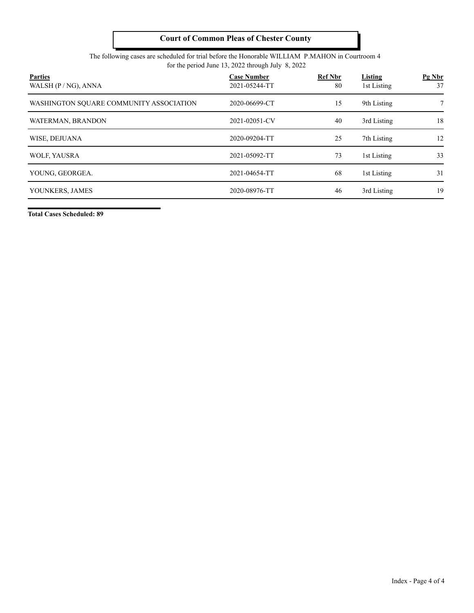#### The following cases are scheduled for trial before the Honorable WILLIAM P.MAHON in Courtroom 4 for the period June 13, 2022 through July 8, 2022

| <b>Parties</b><br>WALSH $(P/NG)$ , ANNA | <b>Case Number</b><br>2021-05244-TT | <b>Ref Nbr</b><br>80 | Listing<br>1st Listing | Pg Nbr<br>37 |
|-----------------------------------------|-------------------------------------|----------------------|------------------------|--------------|
| WASHINGTON SOUARE COMMUNITY ASSOCIATION | 2020-06699-CT                       | 15                   | 9th Listing            | 7            |
| WATERMAN, BRANDON                       | 2021-02051-CV                       | 40                   | 3rd Listing            | 18           |
| WISE, DEJUANA                           | 2020-09204-TT                       | 25                   | 7th Listing            | 12           |
| WOLF, YAUSRA                            | 2021-05092-TT                       | 73                   | 1st Listing            | 33           |
| YOUNG, GEORGEA.                         | 2021-04654-TT                       | 68                   | 1st Listing            | 31           |
| YOUNKERS, JAMES                         | 2020-08976-TT                       | 46                   | 3rd Listing            | 19           |

**Total Cases Scheduled: 89**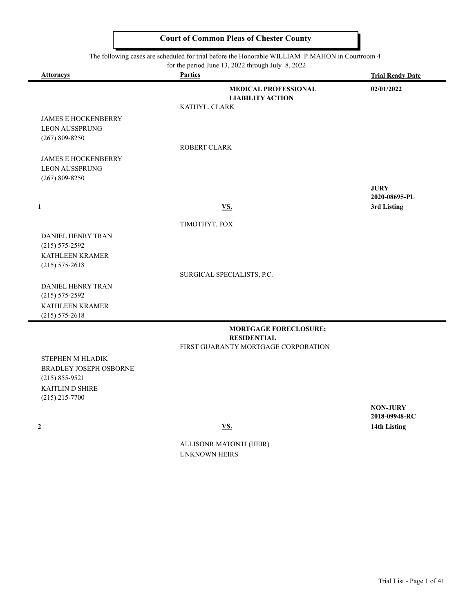The following cases are scheduled for trial before the Honorable WILLIAM P.MAHON in Courtroom 4

|                                     | for the period June 13, 2022 through July 8, 2022                       |                         |
|-------------------------------------|-------------------------------------------------------------------------|-------------------------|
| <b>Attorneys</b>                    | <b>Parties</b>                                                          | <b>Trial Ready Date</b> |
|                                     | <b>MEDICAL PROFESSIONAL</b><br><b>LIABILITY ACTION</b><br>KATHYL. CLARK | 02/01/2022              |
| <b>JAMES E HOCKENBERRY</b>          |                                                                         |                         |
| <b>LEON AUSSPRUNG</b>               |                                                                         |                         |
| $(267)$ 809-8250                    |                                                                         |                         |
|                                     | <b>ROBERT CLARK</b>                                                     |                         |
| <b>JAMES E HOCKENBERRY</b>          |                                                                         |                         |
| <b>LEON AUSSPRUNG</b>               |                                                                         |                         |
| $(267) 809 - 8250$                  |                                                                         | <b>JURY</b>             |
|                                     |                                                                         | 2020-08695-PL           |
| $\mathbf{1}$                        | <b>VS.</b>                                                              | 3rd Listing             |
|                                     | TIMOTHYT. FOX                                                           |                         |
| DANIEL HENRY TRAN                   |                                                                         |                         |
| $(215) 575 - 2592$                  |                                                                         |                         |
| KATHLEEN KRAMER                     |                                                                         |                         |
| $(215) 575 - 2618$                  | SURGICAL SPECIALISTS, P.C.                                              |                         |
| <b>DANIEL HENRY TRAN</b>            |                                                                         |                         |
| $(215) 575 - 2592$                  |                                                                         |                         |
| KATHLEEN KRAMER                     |                                                                         |                         |
| $(215) 575 - 2618$                  |                                                                         |                         |
|                                     | <b>MORTGAGE FORECLOSURE:</b><br><b>RESIDENTIAL</b>                      |                         |
|                                     | FIRST GUARANTY MORTGAGE CORPORATION                                     |                         |
| STEPHEN M HLADIK                    |                                                                         |                         |
| <b>BRADLEY JOSEPH OSBORNE</b>       |                                                                         |                         |
| $(215) 855 - 9521$                  |                                                                         |                         |
| KAITLIN D SHIRE<br>$(215)$ 215-7700 |                                                                         |                         |
|                                     |                                                                         | <b>NON-JURY</b>         |
|                                     |                                                                         | 2018-09948-RC           |

J.

 **2 VS. 14th Listing**

ALLISONR MATONTI (HEIR) UNKNOWN HEIRS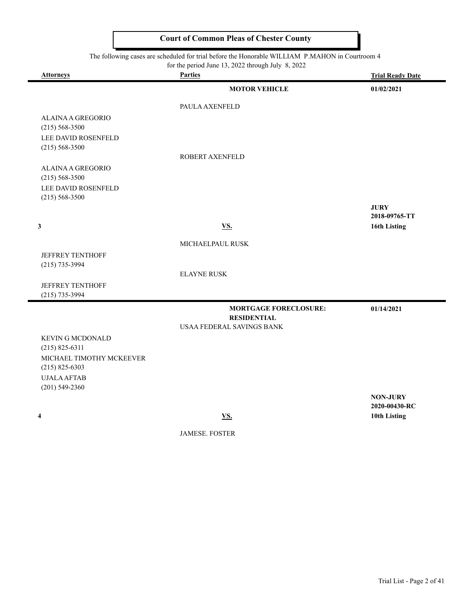#### The following cases are scheduled for trial before the Honorable WILLIAM P.MAHON in Courtroom 4

| for the period June 13, 2022 through July $8, 2022$ |
|-----------------------------------------------------|
|-----------------------------------------------------|

| <b>Attorneys</b>                             | <b>Parties</b>                   | <b>Trial Ready Date</b> |
|----------------------------------------------|----------------------------------|-------------------------|
|                                              | <b>MOTOR VEHICLE</b>             | 01/02/2021              |
|                                              | <b>PAULA AXENFELD</b>            |                         |
| <b>ALAINA A GREGORIO</b>                     |                                  |                         |
| $(215) 568 - 3500$<br>LEE DAVID ROSENFELD    |                                  |                         |
| $(215) 568 - 3500$                           |                                  |                         |
|                                              | ROBERT AXENFELD                  |                         |
| ALAINA A GREGORIO<br>$(215) 568 - 3500$      |                                  |                         |
| LEE DAVID ROSENFELD                          |                                  |                         |
| $(215) 568 - 3500$                           |                                  | <b>JURY</b>             |
|                                              |                                  | 2018-09765-TT           |
| $\mathbf{3}$                                 | <b>VS.</b>                       | 16th Listing            |
|                                              | MICHAELPAUL RUSK                 |                         |
| <b>JEFFREY TENTHOFF</b>                      |                                  |                         |
| $(215)$ 735-3994                             |                                  |                         |
|                                              | <b>ELAYNE RUSK</b>               |                         |
| <b>JEFFREY TENTHOFF</b><br>$(215)$ 735-3994  |                                  |                         |
|                                              | <b>MORTGAGE FORECLOSURE:</b>     | 01/14/2021              |
|                                              | <b>RESIDENTIAL</b>               |                         |
|                                              | <b>USAA FEDERAL SAVINGS BANK</b> |                         |
| <b>KEVIN G MCDONALD</b>                      |                                  |                         |
| $(215) 825 - 6311$                           |                                  |                         |
| MICHAEL TIMOTHY MCKEEVER<br>$(215)$ 825-6303 |                                  |                         |
| <b>UJALA AFTAB</b>                           |                                  |                         |
| $(201)$ 549-2360                             |                                  | <b>NON-JURY</b>         |
|                                              |                                  | 2020-00430-RC           |
| $\overline{\mathbf{4}}$                      | VS.                              | 10th Listing            |

JAMESE. FOSTER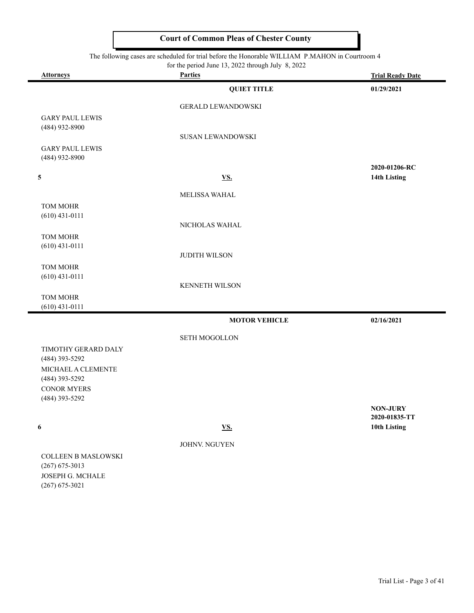The following cases are scheduled for trial before the Honorable WILLIAM P.MAHON in Courtroom 4

|                                      | for the period June 13, 2022 through July 8, 2022 |                         |
|--------------------------------------|---------------------------------------------------|-------------------------|
| <b>Attorneys</b>                     | <b>Parties</b>                                    | <b>Trial Ready Date</b> |
|                                      | <b>QUIET TITLE</b>                                | 01/29/2021              |
|                                      | <b>GERALD LEWANDOWSKI</b>                         |                         |
| <b>GARY PAUL LEWIS</b>               |                                                   |                         |
| (484) 932-8900                       |                                                   |                         |
|                                      | <b>SUSAN LEWANDOWSKI</b>                          |                         |
| <b>GARY PAUL LEWIS</b>               |                                                   |                         |
| (484) 932-8900                       |                                                   | 2020-01206-RC           |
| $\overline{\mathbf{5}}$              | <b>VS.</b>                                        | 14th Listing            |
|                                      |                                                   |                         |
|                                      | MELISSA WAHAL                                     |                         |
| TOM MOHR<br>$(610)$ 431-0111         |                                                   |                         |
|                                      | NICHOLAS WAHAL                                    |                         |
| <b>TOM MOHR</b>                      |                                                   |                         |
| $(610)$ 431-0111                     |                                                   |                         |
|                                      | <b>JUDITH WILSON</b>                              |                         |
| TOM MOHR                             |                                                   |                         |
| $(610)$ 431-0111                     | KENNETH WILSON                                    |                         |
| TOM MOHR                             |                                                   |                         |
| $(610)$ 431-0111                     |                                                   |                         |
|                                      | <b>MOTOR VEHICLE</b>                              | 02/16/2021              |
|                                      | <b>SETH MOGOLLON</b>                              |                         |
| TIMOTHY GERARD DALY                  |                                                   |                         |
| (484) 393-5292                       |                                                   |                         |
| MICHAEL A CLEMENTE                   |                                                   |                         |
| (484) 393-5292                       |                                                   |                         |
| <b>CONOR MYERS</b><br>(484) 393-5292 |                                                   |                         |
|                                      |                                                   | <b>NON-JURY</b>         |
|                                      |                                                   | 2020-01835-TT           |
| 6                                    | <u>VS.</u>                                        | 10th Listing            |
|                                      | JOHNV. NGUYEN                                     |                         |
| <b>COLLEEN B MASLOWSKI</b>           |                                                   |                         |
|                                      |                                                   |                         |

(267) 675-3013 JOSEPH G. MCHALE (267) 675-3021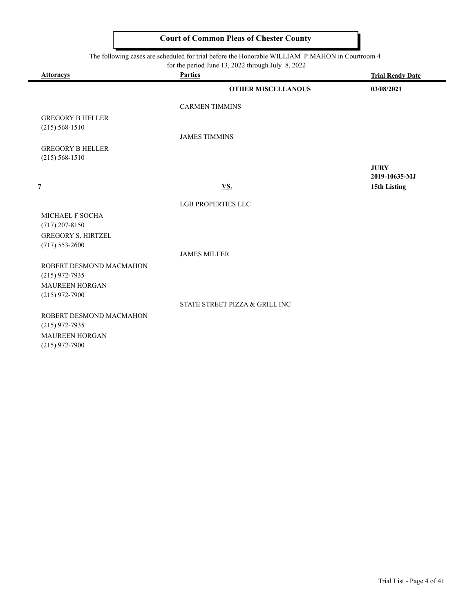The following cases are scheduled for trial before the Honorable WILLIAM P.MAHON in Courtroom 4

-

|                                               | for the period June 13, 2022 through July 8, 2022 |                              |
|-----------------------------------------------|---------------------------------------------------|------------------------------|
| <b>Attorneys</b>                              | <b>Parties</b>                                    | <b>Trial Ready Date</b>      |
|                                               | <b>OTHER MISCELLANOUS</b>                         | 03/08/2021                   |
|                                               | <b>CARMEN TIMMINS</b>                             |                              |
| <b>GREGORY B HELLER</b><br>$(215) 568 - 1510$ |                                                   |                              |
|                                               | <b>JAMES TIMMINS</b>                              |                              |
| <b>GREGORY B HELLER</b><br>$(215) 568 - 1510$ |                                                   |                              |
|                                               |                                                   | <b>JURY</b><br>2019-10635-MJ |
| $\overline{7}$                                | VS.                                               | 15th Listing                 |
|                                               | <b>LGB PROPERTIES LLC</b>                         |                              |
| MICHAEL F SOCHA<br>$(717)$ 207-8150           |                                                   |                              |
| <b>GREGORY S. HIRTZEL</b>                     |                                                   |                              |
| $(717) 553 - 2600$                            | <b>JAMES MILLER</b>                               |                              |
| ROBERT DESMOND MACMAHON<br>$(215)$ 972-7935   |                                                   |                              |
| <b>MAUREEN HORGAN</b>                         |                                                   |                              |
| $(215)$ 972-7900                              | STATE STREET PIZZA & GRILL INC                    |                              |
| ROBERT DESMOND MACMAHON<br>$(215)$ 972-7935   |                                                   |                              |
| MAUREEN HORGAN                                |                                                   |                              |
| $(215)$ 972-7900                              |                                                   |                              |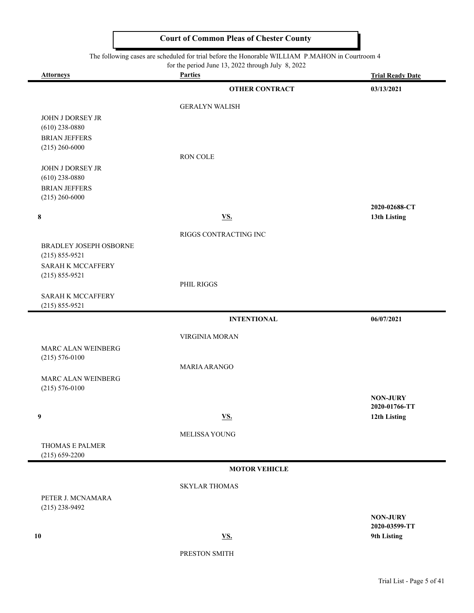#### The following cases are scheduled for trial before the Honorable WILLIAM P.MAHON in Courtroom 4

| <b>Attorneys</b>                             | abob are beneauted for<br>for the period June 13, 2022 through July 8, 2022<br><b>Parties</b> |                                       |
|----------------------------------------------|-----------------------------------------------------------------------------------------------|---------------------------------------|
|                                              | <b>OTHER CONTRACT</b>                                                                         | <b>Trial Ready Date</b><br>03/13/2021 |
|                                              |                                                                                               |                                       |
| JOHN J DORSEY JR                             | <b>GERALYN WALISH</b>                                                                         |                                       |
| $(610)$ 238-0880                             |                                                                                               |                                       |
| <b>BRIAN JEFFERS</b>                         |                                                                                               |                                       |
| $(215)$ 260-6000                             | RON COLE                                                                                      |                                       |
| <b>JOHN J DORSEY JR</b><br>$(610)$ 238-0880  |                                                                                               |                                       |
| <b>BRIAN JEFFERS</b><br>$(215)$ 260-6000     |                                                                                               |                                       |
|                                              |                                                                                               | 2020-02688-CT                         |
| 8                                            | <u>VS.</u>                                                                                    | 13th Listing                          |
|                                              | RIGGS CONTRACTING INC                                                                         |                                       |
| BRADLEY JOSEPH OSBORNE<br>$(215) 855 - 9521$ |                                                                                               |                                       |
| SARAH K MCCAFFERY<br>$(215) 855 - 9521$      |                                                                                               |                                       |
|                                              | PHIL RIGGS                                                                                    |                                       |
| SARAH K MCCAFFERY<br>$(215) 855 - 9521$      |                                                                                               |                                       |
|                                              | <b>INTENTIONAL</b>                                                                            | 06/07/2021                            |
|                                              | VIRGINIA MORAN                                                                                |                                       |
| MARC ALAN WEINBERG                           |                                                                                               |                                       |
| $(215) 576 - 0100$                           |                                                                                               |                                       |
| MARC ALAN WEINBERG                           | MARIA ARANGO                                                                                  |                                       |
| $(215) 576 - 0100$                           |                                                                                               |                                       |
|                                              |                                                                                               | <b>NON-JURY</b>                       |
| 9                                            | <b>VS.</b>                                                                                    | 2020-01766-TT<br>12th Listing         |
|                                              | MELISSA YOUNG                                                                                 |                                       |
| THOMAS E PALMER<br>$(215) 659 - 2200$        |                                                                                               |                                       |
|                                              | <b>MOTOR VEHICLE</b>                                                                          |                                       |
|                                              | <b>SKYLAR THOMAS</b>                                                                          |                                       |
| PETER J. MCNAMARA                            |                                                                                               |                                       |
| $(215)$ 238-9492                             |                                                                                               |                                       |
|                                              |                                                                                               | <b>NON-JURY</b><br>2020-03599-TT      |
| 10                                           | <b>VS.</b>                                                                                    | 9th Listing                           |
|                                              |                                                                                               |                                       |

PRESTON SMITH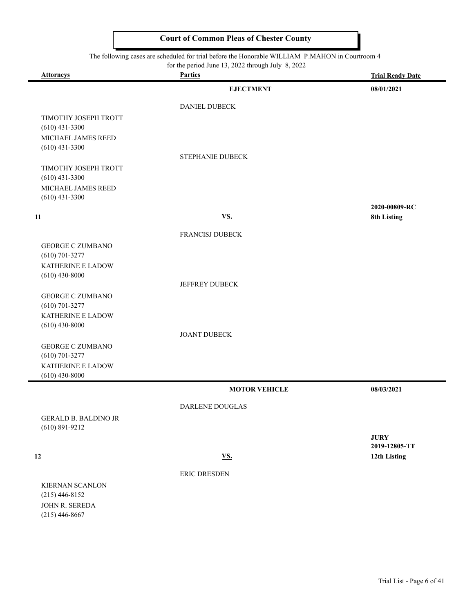The following cases are scheduled for trial before the Honorable WILLIAM P.MAHON in Courtro

|                                                   | for the period June 13, 2022 through July 8, 2022 |                               |
|---------------------------------------------------|---------------------------------------------------|-------------------------------|
| <b>Attorneys</b>                                  | <b>Parties</b>                                    | <b>Trial Ready Date</b>       |
|                                                   | <b>EJECTMENT</b>                                  | 08/01/2021                    |
|                                                   | <b>DANIEL DUBECK</b>                              |                               |
| TIMOTHY JOSEPH TROTT<br>$(610)$ 431-3300          |                                                   |                               |
| MICHAEL JAMES REED<br>$(610)$ 431-3300            |                                                   |                               |
|                                                   | <b>STEPHANIE DUBECK</b>                           |                               |
| TIMOTHY JOSEPH TROTT<br>$(610)$ 431-3300          |                                                   |                               |
| MICHAEL JAMES REED<br>$(610)$ 431-3300            |                                                   |                               |
|                                                   |                                                   | 2020-00809-RC                 |
| 11                                                | <b>VS.</b>                                        | 8th Listing                   |
|                                                   | <b>FRANCISJ DUBECK</b>                            |                               |
| <b>GEORGE C ZUMBANO</b>                           |                                                   |                               |
| $(610)$ 701-3277                                  |                                                   |                               |
| KATHERINE E LADOW<br>$(610)$ 430-8000             |                                                   |                               |
|                                                   | JEFFREY DUBECK                                    |                               |
| <b>GEORGE C ZUMBANO</b>                           |                                                   |                               |
| $(610)$ 701-3277<br>KATHERINE E LADOW             |                                                   |                               |
| $(610)$ 430-8000                                  |                                                   |                               |
|                                                   | <b>JOANT DUBECK</b>                               |                               |
| <b>GEORGE C ZUMBANO</b>                           |                                                   |                               |
| $(610)$ 701-3277                                  |                                                   |                               |
| KATHERINE E LADOW<br>$(610)$ 430-8000             |                                                   |                               |
|                                                   | <b>MOTOR VEHICLE</b>                              | 08/03/2021                    |
|                                                   | DARLENE DOUGLAS                                   |                               |
| <b>GERALD B. BALDINO JR</b><br>$(610) 891 - 9212$ |                                                   |                               |
|                                                   |                                                   | <b>JURY</b>                   |
| 12                                                |                                                   | 2019-12805-TT<br>12th Listing |
|                                                   | <u>VS.</u>                                        |                               |
|                                                   | ERIC DRESDEN                                      |                               |
|                                                   |                                                   |                               |

KIERNAN SCANLON (215) 446-8152 JOHN R. SEREDA (215) 446-8667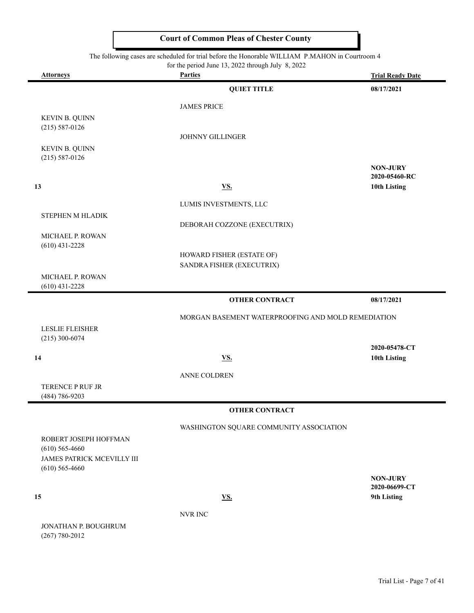The following cases are scheduled for trial before the Honorable WILLIAM P.MAHON in Courtroom 4

 $\blacksquare$ 

 $\blacksquare$ 

|                            | for the period June 13, 2022 through July 8, 2022  |                         |
|----------------------------|----------------------------------------------------|-------------------------|
| <b>Attorneys</b>           | <b>Parties</b>                                     | <b>Trial Ready Date</b> |
|                            | <b>QUIET TITLE</b>                                 | 08/17/2021              |
|                            | <b>JAMES PRICE</b>                                 |                         |
| <b>KEVIN B. QUINN</b>      |                                                    |                         |
| $(215) 587 - 0126$         |                                                    |                         |
|                            | <b>JOHNNY GILLINGER</b>                            |                         |
| KEVIN B. QUINN             |                                                    |                         |
| $(215) 587 - 0126$         |                                                    |                         |
|                            |                                                    | <b>NON-JURY</b>         |
|                            |                                                    | 2020-05460-RC           |
| 13                         | <b>VS.</b>                                         | 10th Listing            |
|                            | LUMIS INVESTMENTS, LLC                             |                         |
| STEPHEN M HLADIK           |                                                    |                         |
|                            | DEBORAH COZZONE (EXECUTRIX)                        |                         |
| MICHAEL P. ROWAN           |                                                    |                         |
| $(610)$ 431-2228           |                                                    |                         |
|                            | HOWARD FISHER (ESTATE OF)                          |                         |
|                            | SANDRA FISHER (EXECUTRIX)                          |                         |
| MICHAEL P. ROWAN           |                                                    |                         |
| $(610)$ 431-2228           |                                                    |                         |
|                            | <b>OTHER CONTRACT</b>                              | 08/17/2021              |
|                            | MORGAN BASEMENT WATERPROOFING AND MOLD REMEDIATION |                         |
| <b>LESLIE FLEISHER</b>     |                                                    |                         |
| $(215)$ 300-6074           |                                                    |                         |
|                            |                                                    | 2020-05478-CT           |
| 14                         | <b>VS.</b>                                         | 10th Listing            |
|                            | ANNE COLDREN                                       |                         |
| TERENCE P RUF JR           |                                                    |                         |
| (484) 786-9203             |                                                    |                         |
|                            | <b>OTHER CONTRACT</b>                              |                         |
|                            | WASHINGTON SQUARE COMMUNITY ASSOCIATION            |                         |
| ROBERT JOSEPH HOFFMAN      |                                                    |                         |
| $(610)$ 565-4660           |                                                    |                         |
| JAMES PATRICK MCEVILLY III |                                                    |                         |
| $(610)$ 565-4660           |                                                    |                         |
|                            |                                                    | <b>NON-JURY</b>         |
|                            |                                                    | 2020-06699-CT           |
| 15                         | <u>VS.</u>                                         | 9th Listing             |
|                            | NVR INC                                            |                         |
| JONATHAN P. BOUGHRUM       |                                                    |                         |
| $(267) 780 - 2012$         |                                                    |                         |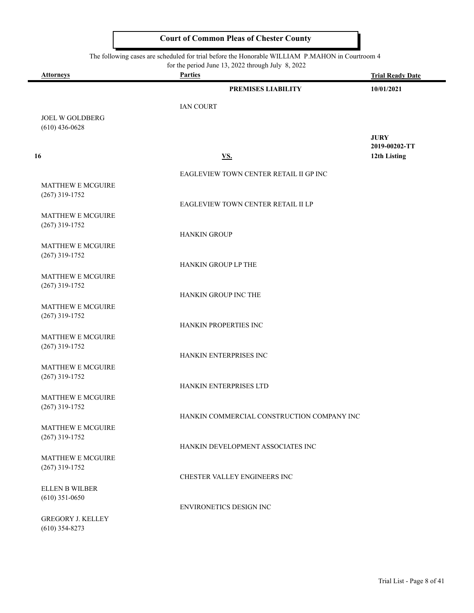The following cases are scheduled for trial before the Honorable WILLIAM P.MAHON in Courtroom 4

 $\blacksquare$ 

|                                    | for the period June 13, 2022 through July 8, 2022 |                         |
|------------------------------------|---------------------------------------------------|-------------------------|
| <b>Attorneys</b>                   | <b>Parties</b>                                    | <b>Trial Ready Date</b> |
|                                    | <b>PREMISES LIABILITY</b>                         | 10/01/2021              |
|                                    | <b>IAN COURT</b>                                  |                         |
| <b>JOEL W GOLDBERG</b>             |                                                   |                         |
| $(610)$ 436-0628                   |                                                   |                         |
|                                    |                                                   | <b>JURY</b>             |
|                                    |                                                   | 2019-00202-TT           |
| 16                                 | <u>VS.</u>                                        | 12th Listing            |
|                                    | EAGLEVIEW TOWN CENTER RETAIL II GP INC            |                         |
| <b>MATTHEW E MCGUIRE</b>           |                                                   |                         |
| $(267)$ 319-1752                   |                                                   |                         |
|                                    | EAGLEVIEW TOWN CENTER RETAIL II LP                |                         |
| <b>MATTHEW E MCGUIRE</b>           |                                                   |                         |
| $(267)$ 319-1752                   |                                                   |                         |
|                                    | <b>HANKIN GROUP</b>                               |                         |
| <b>MATTHEW E MCGUIRE</b>           |                                                   |                         |
| $(267)$ 319-1752                   |                                                   |                         |
|                                    | HANKIN GROUP LP THE                               |                         |
| <b>MATTHEW E MCGUIRE</b>           |                                                   |                         |
| $(267)$ 319-1752                   |                                                   |                         |
|                                    | HANKIN GROUP INC THE                              |                         |
| MATTHEW E MCGUIRE                  |                                                   |                         |
| $(267)$ 319-1752                   | HANKIN PROPERTIES INC                             |                         |
| <b>MATTHEW E MCGUIRE</b>           |                                                   |                         |
| $(267)$ 319-1752                   |                                                   |                         |
|                                    | HANKIN ENTERPRISES INC                            |                         |
| <b>MATTHEW E MCGUIRE</b>           |                                                   |                         |
| $(267)$ 319-1752                   |                                                   |                         |
|                                    | HANKIN ENTERPRISES LTD                            |                         |
| MATTHEW E MCGUIRE                  |                                                   |                         |
| $(267)$ 319-1752                   |                                                   |                         |
|                                    | HANKIN COMMERCIAL CONSTRUCTION COMPANY INC        |                         |
| <b>MATTHEW E MCGUIRE</b>           |                                                   |                         |
| $(267)$ 319-1752                   |                                                   |                         |
|                                    | HANKIN DEVELOPMENT ASSOCIATES INC                 |                         |
| <b>MATTHEW E MCGUIRE</b>           |                                                   |                         |
| $(267)$ 319-1752                   | CHESTER VALLEY ENGINEERS INC                      |                         |
|                                    |                                                   |                         |
| ELLEN B WILBER<br>$(610)$ 351-0650 |                                                   |                         |
|                                    | ENVIRONETICS DESIGN INC                           |                         |
| <b>GREGORY J. KELLEY</b>           |                                                   |                         |
| $(610)$ 354-8273                   |                                                   |                         |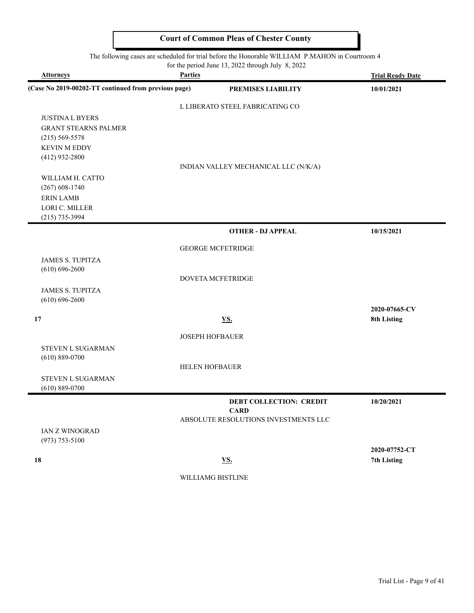|                                                      |                        | The following cases are scheduled for trial before the Honorable WILLIAM P.MAHON in Courtroom 4<br>for the period June 13, 2022 through July 8, 2022 |                         |
|------------------------------------------------------|------------------------|------------------------------------------------------------------------------------------------------------------------------------------------------|-------------------------|
| <b>Attorneys</b>                                     | <b>Parties</b>         |                                                                                                                                                      | <b>Trial Ready Date</b> |
| (Case No 2019-00202-TT continued from previous page) |                        | PREMISES LIABILITY                                                                                                                                   | 10/01/2021              |
|                                                      |                        | L LIBERATO STEEL FABRICATING CO                                                                                                                      |                         |
| <b>JUSTINA L BYERS</b>                               |                        |                                                                                                                                                      |                         |
| <b>GRANT STEARNS PALMER</b>                          |                        |                                                                                                                                                      |                         |
| $(215) 569 - 5578$                                   |                        |                                                                                                                                                      |                         |
| <b>KEVIN M EDDY</b>                                  |                        |                                                                                                                                                      |                         |
| $(412)$ 932-2800                                     |                        |                                                                                                                                                      |                         |
|                                                      |                        | INDIAN VALLEY MECHANICAL LLC (N/K/A)                                                                                                                 |                         |
| WILLIAM H. CATTO                                     |                        |                                                                                                                                                      |                         |
| $(267)$ 608-1740                                     |                        |                                                                                                                                                      |                         |
| <b>ERIN LAMB</b>                                     |                        |                                                                                                                                                      |                         |
| LORI C. MILLER                                       |                        |                                                                                                                                                      |                         |
| $(215)$ 735-3994                                     |                        |                                                                                                                                                      |                         |
|                                                      |                        | <b>OTHER - DJ APPEAL</b>                                                                                                                             | 10/15/2021              |
|                                                      |                        | <b>GEORGE MCFETRIDGE</b>                                                                                                                             |                         |
| <b>JAMES S. TUPITZA</b>                              |                        |                                                                                                                                                      |                         |
| $(610) 696 - 2600$                                   |                        |                                                                                                                                                      |                         |
|                                                      |                        | DOVETA MCFETRIDGE                                                                                                                                    |                         |
| <b>JAMES S. TUPITZA</b>                              |                        |                                                                                                                                                      |                         |
| $(610) 696 - 2600$                                   |                        |                                                                                                                                                      |                         |
|                                                      |                        |                                                                                                                                                      | 2020-07665-CV           |
| 17                                                   |                        | <b>VS.</b>                                                                                                                                           | 8th Listing             |
|                                                      | <b>JOSEPH HOFBAUER</b> |                                                                                                                                                      |                         |
| <b>STEVEN L SUGARMAN</b>                             |                        |                                                                                                                                                      |                         |
| $(610) 889 - 0700$                                   |                        |                                                                                                                                                      |                         |
|                                                      | <b>HELEN HOFBAUER</b>  |                                                                                                                                                      |                         |
| <b>STEVEN L SUGARMAN</b>                             |                        |                                                                                                                                                      |                         |
| $(610) 889 - 0700$                                   |                        |                                                                                                                                                      |                         |
|                                                      |                        |                                                                                                                                                      |                         |
|                                                      |                        | <b>DEBT COLLECTION: CREDIT</b><br><b>CARD</b>                                                                                                        | 10/20/2021              |
|                                                      |                        | ABSOLUTE RESOLUTIONS INVESTMENTS LLC                                                                                                                 |                         |
| <b>IAN Z WINOGRAD</b>                                |                        |                                                                                                                                                      |                         |
| $(973) 753 - 5100$                                   |                        |                                                                                                                                                      |                         |
|                                                      |                        |                                                                                                                                                      | 2020-07752-CT           |
| 18                                                   |                        | <u>VS.</u>                                                                                                                                           | 7th Listing             |
|                                                      |                        |                                                                                                                                                      |                         |

WILLIAMG BISTLINE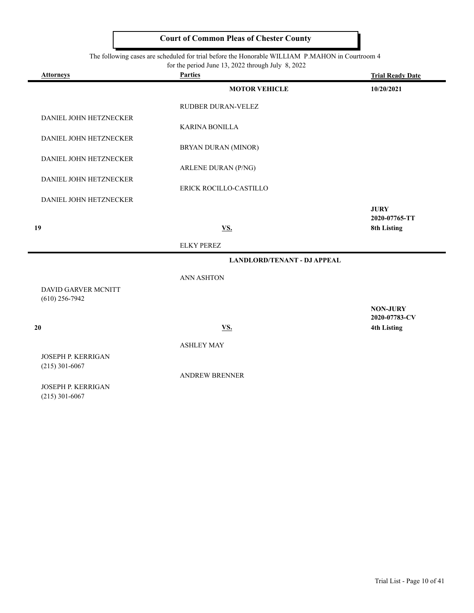#### The following cases are scheduled for trial before the Honorable WILLIAM P.MAHON in Courtroom 4

|  |  |  | for the period June 13, 2022 through July 8, 2022 |  |  |  |  |  |  |
|--|--|--|---------------------------------------------------|--|--|--|--|--|--|
|--|--|--|---------------------------------------------------|--|--|--|--|--|--|

| <b>Attorneys</b>                          | $101$ and period state $15,2022$ anough stars<br><b>Parties</b> | <b>Trial Ready Date</b>             |
|-------------------------------------------|-----------------------------------------------------------------|-------------------------------------|
|                                           | <b>MOTOR VEHICLE</b>                                            | 10/20/2021                          |
|                                           | RUDBER DURAN-VELEZ                                              |                                     |
| DANIEL JOHN HETZNECKER                    |                                                                 |                                     |
| DANIEL JOHN HETZNECKER                    | <b>KARINA BONILLA</b>                                           |                                     |
|                                           | BRYAN DURAN (MINOR)                                             |                                     |
| DANIEL JOHN HETZNECKER                    | ARLENE DURAN (P/NG)                                             |                                     |
| DANIEL JOHN HETZNECKER                    |                                                                 |                                     |
| DANIEL JOHN HETZNECKER                    | ERICK ROCILLO-CASTILLO                                          |                                     |
|                                           |                                                                 | <b>JURY</b>                         |
| 19                                        | <b>VS.</b>                                                      | 2020-07765-TT<br>8th Listing        |
|                                           | <b>ELKY PEREZ</b>                                               |                                     |
|                                           | <b>LANDLORD/TENANT - DJ APPEAL</b>                              |                                     |
|                                           | <b>ANN ASHTON</b>                                               |                                     |
| DAVID GARVER MCNITT<br>$(610)$ 256-7942   |                                                                 |                                     |
|                                           |                                                                 | <b>NON-JURY</b>                     |
| 20                                        | <u>VS.</u>                                                      | 2020-07783-CV<br><b>4th Listing</b> |
|                                           | <b>ASHLEY MAY</b>                                               |                                     |
| <b>JOSEPH P. KERRIGAN</b>                 |                                                                 |                                     |
| $(215)$ 301-6067                          | <b>ANDREW BRENNER</b>                                           |                                     |
| JOSEPH P. KERRIGAN<br>$(215)$ 201 $(0/7)$ |                                                                 |                                     |

(215) 301-6067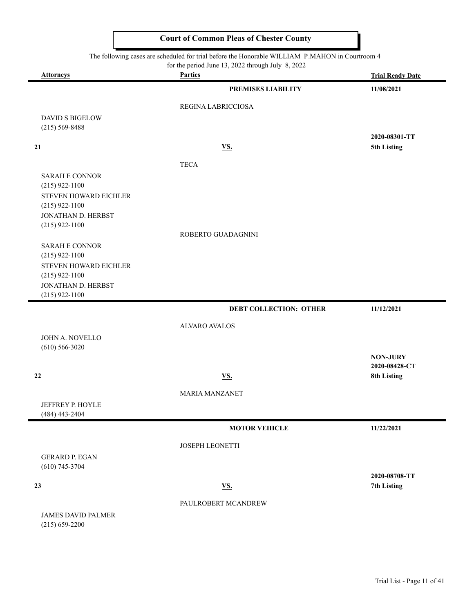The following cases are scheduled for trial before the Honorable WILLIAM P.MAHON in Courtroom 4

for the period June 13, 2022 through July 8, 2022

|                           | for the period June $13, 2022$ through July $8, 2022$ |                              |
|---------------------------|-------------------------------------------------------|------------------------------|
| <b>Attorneys</b>          | <b>Parties</b>                                        | <b>Trial Ready Date</b>      |
|                           | <b>PREMISES LIABILITY</b>                             | 11/08/2021                   |
|                           | REGINA LABRICCIOSA                                    |                              |
| <b>DAVID S BIGELOW</b>    |                                                       |                              |
| $(215) 569 - 8488$        |                                                       |                              |
|                           |                                                       | 2020-08301-TT                |
| 21                        | <b>VS.</b>                                            | 5th Listing                  |
|                           | <b>TECA</b>                                           |                              |
| <b>SARAH E CONNOR</b>     |                                                       |                              |
| $(215)$ 922-1100          |                                                       |                              |
| STEVEN HOWARD EICHLER     |                                                       |                              |
| $(215)$ 922-1100          |                                                       |                              |
| JONATHAN D. HERBST        |                                                       |                              |
| $(215)$ 922-1100          | ROBERTO GUADAGNINI                                    |                              |
| <b>SARAH E CONNOR</b>     |                                                       |                              |
| $(215)$ 922-1100          |                                                       |                              |
| STEVEN HOWARD EICHLER     |                                                       |                              |
| $(215)$ 922-1100          |                                                       |                              |
| JONATHAN D. HERBST        |                                                       |                              |
| $(215)$ 922-1100          |                                                       |                              |
|                           | <b>DEBT COLLECTION: OTHER</b>                         | 11/12/2021                   |
|                           | <b>ALVARO AVALOS</b>                                  |                              |
| JOHN A. NOVELLO           |                                                       |                              |
| $(610)$ 566-3020          |                                                       |                              |
|                           |                                                       | <b>NON-JURY</b>              |
| 22                        |                                                       | 2020-08428-CT<br>8th Listing |
|                           | <b>VS.</b>                                            |                              |
|                           | <b>MARIA MANZANET</b>                                 |                              |
| JEFFREY P. HOYLE          |                                                       |                              |
| (484) 443-2404            |                                                       |                              |
|                           | <b>MOTOR VEHICLE</b>                                  | 11/22/2021                   |
|                           | JOSEPH LEONETTI                                       |                              |
| <b>GERARD P. EGAN</b>     |                                                       |                              |
| $(610)$ 745-3704          |                                                       |                              |
|                           |                                                       | 2020-08708-TT                |
| 23                        | <b>VS.</b>                                            | 7th Listing                  |
|                           | PAULROBERT MCANDREW                                   |                              |
| <b>JAMES DAVID PALMER</b> |                                                       |                              |
| $(215) 659 - 2200$        |                                                       |                              |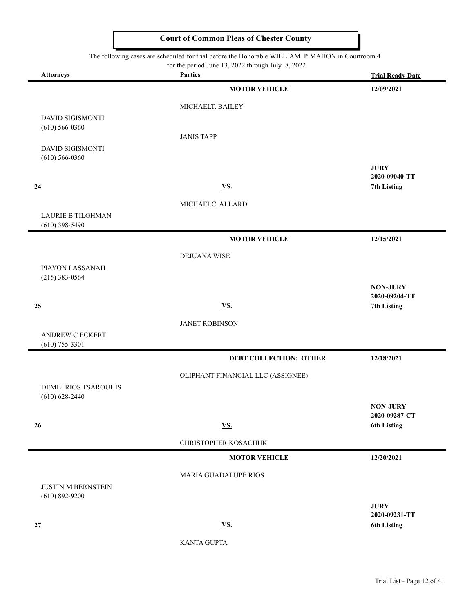#### The following cases are scheduled for trial before the Honorable WILLIAM P.MAHON in Courtroom 4

 $\blacksquare$ 

 $\blacksquare$ 

 $\blacksquare$ 

|                            | The following cases are scheduled for trial before the Honorable WILLIAM P.MAHON in Courtroom 4<br>for the period June 13, 2022 through July 8, 2022 |                                  |
|----------------------------|------------------------------------------------------------------------------------------------------------------------------------------------------|----------------------------------|
| <b>Attorneys</b>           | <b>Parties</b>                                                                                                                                       | <b>Trial Ready Date</b>          |
|                            | <b>MOTOR VEHICLE</b>                                                                                                                                 | 12/09/2021                       |
|                            | MICHAELT. BAILEY                                                                                                                                     |                                  |
| DAVID SIGISMONTI           |                                                                                                                                                      |                                  |
| $(610)$ 566-0360           |                                                                                                                                                      |                                  |
| <b>DAVID SIGISMONTI</b>    | <b>JANIS TAPP</b>                                                                                                                                    |                                  |
| $(610)$ 566-0360           |                                                                                                                                                      |                                  |
|                            |                                                                                                                                                      | <b>JURY</b>                      |
| 24                         | <b>VS.</b>                                                                                                                                           | 2020-09040-TT<br>7th Listing     |
|                            |                                                                                                                                                      |                                  |
| <b>LAURIE B TILGHMAN</b>   | MICHAELC. ALLARD                                                                                                                                     |                                  |
| $(610)$ 398-5490           |                                                                                                                                                      |                                  |
|                            | <b>MOTOR VEHICLE</b>                                                                                                                                 | 12/15/2021                       |
|                            | <b>DEJUANA WISE</b>                                                                                                                                  |                                  |
| PIAYON LASSANAH            |                                                                                                                                                      |                                  |
| $(215)$ 383-0564           |                                                                                                                                                      |                                  |
|                            |                                                                                                                                                      | <b>NON-JURY</b><br>2020-09204-TT |
| 25                         | <b>VS.</b>                                                                                                                                           | 7th Listing                      |
|                            | <b>JANET ROBINSON</b>                                                                                                                                |                                  |
| ANDREW C ECKERT            |                                                                                                                                                      |                                  |
| $(610)$ 755-3301           |                                                                                                                                                      |                                  |
|                            | <b>DEBT COLLECTION: OTHER</b>                                                                                                                        | 12/18/2021                       |
|                            | OLIPHANT FINANCIAL LLC (ASSIGNEE)                                                                                                                    |                                  |
| <b>DEMETRIOS TSAROUHIS</b> |                                                                                                                                                      |                                  |
| $(610) 628 - 2440$         |                                                                                                                                                      | <b>NON-JURY</b>                  |
|                            |                                                                                                                                                      | 2020-09287-CT                    |
| 26                         | <b>VS.</b>                                                                                                                                           | <b>6th Listing</b>               |
|                            | CHRISTOPHER KOSACHUK                                                                                                                                 |                                  |
|                            | <b>MOTOR VEHICLE</b>                                                                                                                                 | 12/20/2021                       |
|                            | <b>MARIA GUADALUPE RIOS</b>                                                                                                                          |                                  |
| <b>JUSTIN M BERNSTEIN</b>  |                                                                                                                                                      |                                  |
| $(610)$ 892-9200           |                                                                                                                                                      |                                  |
|                            |                                                                                                                                                      | <b>JURY</b><br>2020-09231-TT     |
| 27                         | <b>VS.</b>                                                                                                                                           | <b>6th Listing</b>               |
|                            |                                                                                                                                                      |                                  |

KANTA GUPTA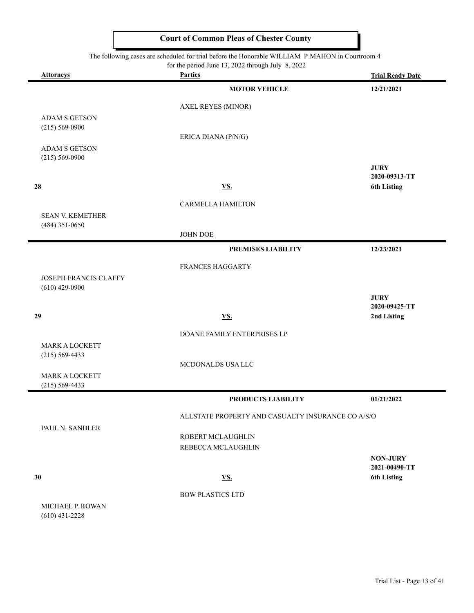#### The following cases are scheduled for trial before the Honorable WILLIAM P.MAHON in Courtroom 4

| <b>Attorneys</b>                            | for the period June 13, 2022 through July 8, 2022<br><b>Parties</b> | <b>Trial Ready Date</b>             |
|---------------------------------------------|---------------------------------------------------------------------|-------------------------------------|
|                                             | <b>MOTOR VEHICLE</b>                                                | 12/21/2021                          |
|                                             |                                                                     |                                     |
|                                             | <b>AXEL REYES (MINOR)</b>                                           |                                     |
| <b>ADAM S GETSON</b><br>$(215) 569 - 0900$  |                                                                     |                                     |
|                                             | ERICA DIANA (P/N/G)                                                 |                                     |
| ADAM S GETSON<br>$(215) 569 - 0900$         |                                                                     |                                     |
|                                             |                                                                     | <b>JURY</b>                         |
|                                             |                                                                     | 2020-09313-TT                       |
| 28                                          | <u>VS.</u>                                                          | <b>6th Listing</b>                  |
|                                             | CARMELLA HAMILTON                                                   |                                     |
| <b>SEAN V. KEMETHER</b><br>$(484)$ 351-0650 |                                                                     |                                     |
|                                             | JOHN DOE                                                            |                                     |
|                                             | PREMISES LIABILITY                                                  | 12/23/2021                          |
|                                             | FRANCES HAGGARTY                                                    |                                     |
| JOSEPH FRANCIS CLAFFY                       |                                                                     |                                     |
| $(610)$ 429-0900                            |                                                                     | <b>JURY</b>                         |
|                                             |                                                                     | 2020-09425-TT                       |
| 29                                          | <b>VS.</b>                                                          | 2nd Listing                         |
|                                             | DOANE FAMILY ENTERPRISES LP                                         |                                     |
| <b>MARK A LOCKETT</b><br>$(215) 569 - 4433$ |                                                                     |                                     |
|                                             | MCDONALDS USA LLC                                                   |                                     |
| <b>MARK A LOCKETT</b>                       |                                                                     |                                     |
| $(215) 569 - 4433$                          |                                                                     |                                     |
|                                             | PRODUCTS LIABILITY                                                  | 01/21/2022                          |
|                                             | ALLSTATE PROPERTY AND CASUALTY INSURANCE CO A/S/O                   |                                     |
| PAUL N. SANDLER                             | ROBERT MCLAUGHLIN                                                   |                                     |
|                                             | REBECCA MCLAUGHLIN                                                  |                                     |
|                                             |                                                                     | <b>NON-JURY</b>                     |
| 30                                          | <u>VS.</u>                                                          | 2021-00490-TT<br><b>6th Listing</b> |
|                                             |                                                                     |                                     |
| MICHAEL P ROWAN                             | <b>BOW PLASTICS LTD</b>                                             |                                     |

MICHAEL P. ROWAN (610) 431-2228

 $\overline{\phantom{0}}$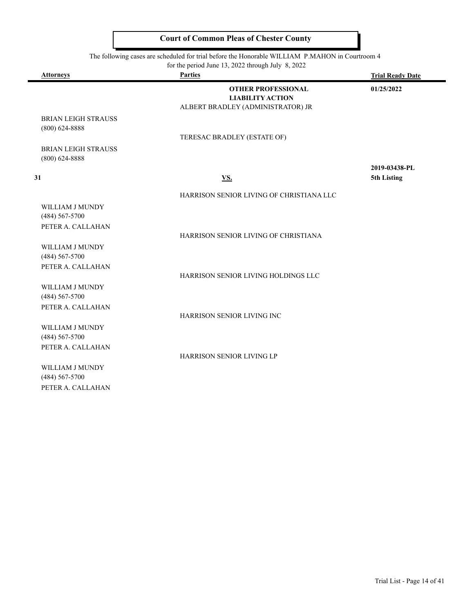$\overline{\phantom{0}}$ 

ı

|                                                            | The following cases are scheduled for trial before the Honorable WILLIAM P.MAHON in Courtroom 4 |                         |
|------------------------------------------------------------|-------------------------------------------------------------------------------------------------|-------------------------|
|                                                            | for the period June 13, 2022 through July 8, 2022                                               |                         |
| <b>Attorneys</b>                                           | <b>Parties</b>                                                                                  | <b>Trial Ready Date</b> |
|                                                            | <b>OTHER PROFESSIONAL</b><br><b>LIABILITY ACTION</b><br>ALBERT BRADLEY (ADMINISTRATOR) JR       | 01/25/2022              |
| <b>BRIAN LEIGH STRAUSS</b><br>$(800)$ 624-8888             | TERESAC BRADLEY (ESTATE OF)                                                                     |                         |
| <b>BRIAN LEIGH STRAUSS</b><br>$(800)$ 624-8888             |                                                                                                 | 2019-03438-PL           |
| 31                                                         | <u>VS.</u>                                                                                      | 5th Listing             |
|                                                            | HARRISON SENIOR LIVING OF CHRISTIANA LLC                                                        |                         |
| WILLIAM J MUNDY<br>$(484)$ 567-5700<br>PETER A. CALLAHAN   |                                                                                                 |                         |
|                                                            | HARRISON SENIOR LIVING OF CHRISTIANA                                                            |                         |
| WILLIAM J MUNDY<br>$(484) 567 - 5700$<br>PETER A. CALLAHAN |                                                                                                 |                         |
|                                                            | HARRISON SENIOR LIVING HOLDINGS LLC                                                             |                         |
| WILLIAM J MUNDY<br>$(484) 567 - 5700$<br>PETER A. CALLAHAN |                                                                                                 |                         |
|                                                            | HARRISON SENIOR LIVING INC                                                                      |                         |
| WILLIAM J MUNDY<br>(484) 567-5700<br>PETER A. CALLAHAN     |                                                                                                 |                         |
| WILLIAM J MUNDY<br>$(484)$ 567-5700<br>PETER A. CALLAHAN   | <b>HARRISON SENIOR LIVING LP</b>                                                                |                         |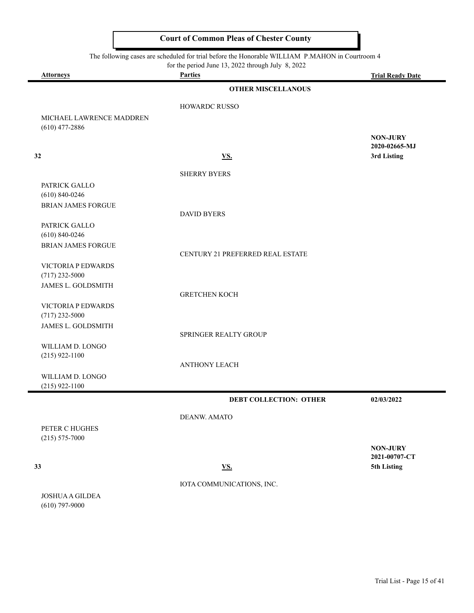|                                              | The following cases are scheduled for trial before the Honorable WILLIAM P.MAHON in Courtroom 4<br>for the period June 13, 2022 through July 8, 2022 |                                  |
|----------------------------------------------|------------------------------------------------------------------------------------------------------------------------------------------------------|----------------------------------|
| <b>Attorneys</b>                             | <b>Parties</b>                                                                                                                                       | <b>Trial Ready Date</b>          |
|                                              | <b>OTHER MISCELLANOUS</b>                                                                                                                            |                                  |
|                                              | <b>HOWARDC RUSSO</b>                                                                                                                                 |                                  |
| MICHAEL LAWRENCE MADDREN<br>$(610)$ 477-2886 |                                                                                                                                                      |                                  |
|                                              |                                                                                                                                                      | <b>NON-JURY</b><br>2020-02665-MJ |
| 32                                           | <b>VS.</b>                                                                                                                                           | 3rd Listing                      |
|                                              | <b>SHERRY BYERS</b>                                                                                                                                  |                                  |
| PATRICK GALLO<br>$(610) 840 - 0246$          |                                                                                                                                                      |                                  |
| <b>BRIAN JAMES FORGUE</b>                    | <b>DAVID BYERS</b>                                                                                                                                   |                                  |
| PATRICK GALLO<br>$(610) 840 - 0246$          |                                                                                                                                                      |                                  |
| <b>BRIAN JAMES FORGUE</b>                    | CENTURY 21 PREFERRED REAL ESTATE                                                                                                                     |                                  |
| VICTORIA P EDWARDS<br>$(717)$ 232-5000       |                                                                                                                                                      |                                  |
| <b>JAMES L. GOLDSMITH</b>                    | <b>GRETCHEN KOCH</b>                                                                                                                                 |                                  |
| VICTORIA P EDWARDS<br>$(717)$ 232-5000       |                                                                                                                                                      |                                  |
| JAMES L. GOLDSMITH                           | SPRINGER REALTY GROUP                                                                                                                                |                                  |
| WILLIAM D. LONGO<br>$(215)$ 922-1100         |                                                                                                                                                      |                                  |
|                                              | <b>ANTHONY LEACH</b>                                                                                                                                 |                                  |
| WILLIAM D. LONGO<br>$(215)$ 922-1100         |                                                                                                                                                      |                                  |
|                                              | <b>DEBT COLLECTION: OTHER</b>                                                                                                                        | 02/03/2022                       |
|                                              | DEANW. AMATO                                                                                                                                         |                                  |
| PETER C HUGHES<br>$(215) 575 - 7000$         |                                                                                                                                                      |                                  |
|                                              |                                                                                                                                                      | <b>NON-JURY</b><br>2021-00707-CT |
| 33                                           | <b>VS.</b>                                                                                                                                           | 5th Listing                      |

JOSHUA A GILDEA (610) 797-9000

 $\equiv$ 

 $\blacksquare$ 

IOTA COMMUNICATIONS, INC.

Trial List - Page 15 of 41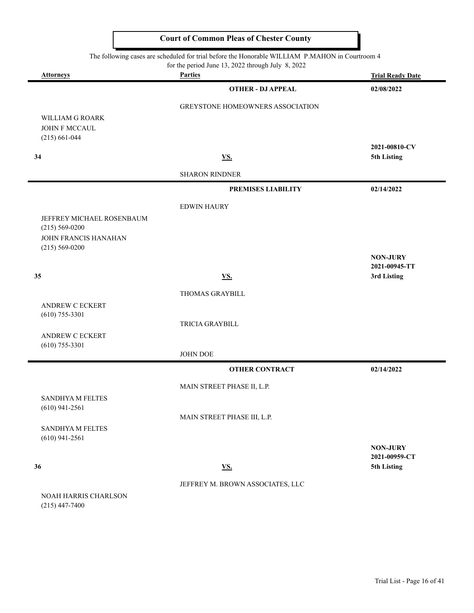|                                            | The following cases are scheduled for trial before the Honorable WILLIAM P.MAHON in Courtroom 4<br>for the period June 13, 2022 through July 8, 2022 |                                  |
|--------------------------------------------|------------------------------------------------------------------------------------------------------------------------------------------------------|----------------------------------|
| <b>Attorneys</b>                           | <b>Parties</b>                                                                                                                                       | <b>Trial Ready Date</b>          |
|                                            | <b>OTHER - DJ APPEAL</b>                                                                                                                             | 02/08/2022                       |
|                                            | <b>GREYSTONE HOMEOWNERS ASSOCIATION</b>                                                                                                              |                                  |
| WILLIAM G ROARK                            |                                                                                                                                                      |                                  |
| JOHN F MCCAUL<br>$(215) 661 - 044$         |                                                                                                                                                      |                                  |
|                                            |                                                                                                                                                      | 2021-00810-CV                    |
| 34                                         | <b>VS.</b>                                                                                                                                           | 5th Listing                      |
|                                            | <b>SHARON RINDNER</b>                                                                                                                                |                                  |
|                                            | PREMISES LIABILITY                                                                                                                                   | 02/14/2022                       |
|                                            | <b>EDWIN HAURY</b>                                                                                                                                   |                                  |
| JEFFREY MICHAEL ROSENBAUM                  |                                                                                                                                                      |                                  |
| $(215) 569 - 0200$<br>JOHN FRANCIS HANAHAN |                                                                                                                                                      |                                  |
| $(215) 569 - 0200$                         |                                                                                                                                                      |                                  |
|                                            |                                                                                                                                                      | <b>NON-JURY</b><br>2021-00945-TT |
| 35                                         | VS.                                                                                                                                                  | 3rd Listing                      |
|                                            | THOMAS GRAYBILL                                                                                                                                      |                                  |
| <b>ANDREW C ECKERT</b>                     |                                                                                                                                                      |                                  |
| $(610)$ 755-3301                           | TRICIA GRAYBILL                                                                                                                                      |                                  |
| <b>ANDREW C ECKERT</b>                     |                                                                                                                                                      |                                  |
| $(610)$ 755-3301                           | <b>JOHN DOE</b>                                                                                                                                      |                                  |
|                                            | <b>OTHER CONTRACT</b>                                                                                                                                | 02/14/2022                       |
|                                            |                                                                                                                                                      |                                  |
| <b>SANDHYA M FELTES</b>                    | MAIN STREET PHASE II, L.P.                                                                                                                           |                                  |
| $(610)$ 941-2561                           |                                                                                                                                                      |                                  |
|                                            | MAIN STREET PHASE III, L.P.                                                                                                                          |                                  |
| SANDHYA M FELTES<br>$(610)$ 941-2561       |                                                                                                                                                      |                                  |
|                                            |                                                                                                                                                      | <b>NON-JURY</b>                  |
| 36                                         | <b>VS.</b>                                                                                                                                           | 2021-00959-CT<br>5th Listing     |
|                                            |                                                                                                                                                      |                                  |
| NOAH HARRIS CHARLSON                       | JEFFREY M. BROWN ASSOCIATES, LLC                                                                                                                     |                                  |
| $(215)$ 447-7400                           |                                                                                                                                                      |                                  |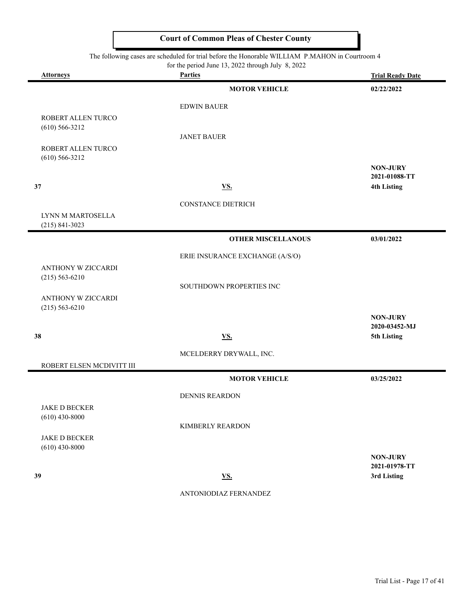|  | for the period June 13, 2022 through July 8, 2022 |  |  |
|--|---------------------------------------------------|--|--|
|--|---------------------------------------------------|--|--|

| <b>Attorneys</b>                         | For the period sune 19, 2022 unough survey $\sigma$ , 2022<br><b>Parties</b> | <b>Trial Ready Date</b>          |
|------------------------------------------|------------------------------------------------------------------------------|----------------------------------|
|                                          | <b>MOTOR VEHICLE</b>                                                         | 02/22/2022                       |
|                                          | <b>EDWIN BAUER</b>                                                           |                                  |
| ROBERT ALLEN TURCO                       |                                                                              |                                  |
| $(610) 566 - 3212$                       | <b>JANET BAUER</b>                                                           |                                  |
| ROBERT ALLEN TURCO<br>$(610) 566 - 3212$ |                                                                              |                                  |
|                                          |                                                                              | <b>NON-JURY</b><br>2021-01088-TT |
| 37                                       | VS.                                                                          | <b>4th Listing</b>               |
|                                          | <b>CONSTANCE DIETRICH</b>                                                    |                                  |
| LYNN M MARTOSELLA<br>$(215) 841 - 3023$  |                                                                              |                                  |
|                                          | <b>OTHER MISCELLANOUS</b>                                                    | 03/01/2022                       |
|                                          | ERIE INSURANCE EXCHANGE (A/S/O)                                              |                                  |
| ANTHONY W ZICCARDI                       |                                                                              |                                  |
| $(215) 563 - 6210$                       | SOUTHDOWN PROPERTIES INC                                                     |                                  |
| ANTHONY W ZICCARDI                       |                                                                              |                                  |
| $(215) 563 - 6210$                       |                                                                              | <b>NON-JURY</b>                  |
|                                          |                                                                              | 2020-03452-MJ                    |
| 38                                       | <b>VS.</b>                                                                   | 5th Listing                      |
|                                          | MCELDERRY DRYWALL, INC.                                                      |                                  |
| ROBERT ELSEN MCDIVITT III                | <b>MOTOR VEHICLE</b>                                                         | 03/25/2022                       |
|                                          |                                                                              |                                  |
| <b>JAKE D BECKER</b>                     | <b>DENNIS REARDON</b>                                                        |                                  |
| $(610)$ 430-8000                         |                                                                              |                                  |
|                                          | <b>KIMBERLY REARDON</b>                                                      |                                  |
| <b>JAKE D BECKER</b><br>$(610)$ 430-8000 |                                                                              |                                  |
|                                          |                                                                              | <b>NON-JURY</b>                  |
| 39                                       | $\underline{\mathbf{V}}\underline{\mathbf{S}}$ .                             | 2021-01978-TT<br>3rd Listing     |
|                                          | ANTONIODIAZ FERNANDEZ                                                        |                                  |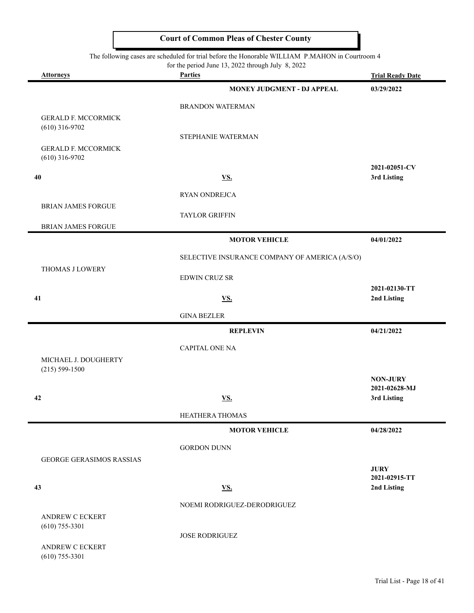|                                            | for the period June 13, 2022 through July 8, 2022 |                              |
|--------------------------------------------|---------------------------------------------------|------------------------------|
| <b>Attorneys</b>                           | <b>Parties</b>                                    | <b>Trial Ready Date</b>      |
|                                            | MONEY JUDGMENT - DJ APPEAL                        | 03/29/2022                   |
|                                            | <b>BRANDON WATERMAN</b>                           |                              |
| <b>GERALD F. MCCORMICK</b>                 |                                                   |                              |
| $(610)$ 316-9702                           | STEPHANIE WATERMAN                                |                              |
| <b>GERALD F. MCCORMICK</b>                 |                                                   |                              |
| $(610)$ 316-9702                           |                                                   | 2021-02051-CV                |
| 40                                         | <b>VS.</b>                                        | 3rd Listing                  |
|                                            | RYAN ONDREJCA                                     |                              |
| <b>BRIAN JAMES FORGUE</b>                  |                                                   |                              |
|                                            | <b>TAYLOR GRIFFIN</b>                             |                              |
| <b>BRIAN JAMES FORGUE</b>                  | <b>MOTOR VEHICLE</b>                              | 04/01/2022                   |
|                                            |                                                   |                              |
| THOMAS J LOWERY                            | SELECTIVE INSURANCE COMPANY OF AMERICA (A/S/O)    |                              |
|                                            | <b>EDWIN CRUZ SR</b>                              |                              |
|                                            |                                                   | 2021-02130-TT                |
| 41                                         | <u>VS.</u>                                        | 2nd Listing                  |
|                                            | <b>GINA BEZLER</b>                                |                              |
|                                            | <b>REPLEVIN</b>                                   | 04/21/2022                   |
|                                            | <b>CAPITAL ONE NA</b>                             |                              |
| MICHAEL J. DOUGHERTY<br>$(215) 599 - 1500$ |                                                   |                              |
|                                            |                                                   | <b>NON-JURY</b>              |
| 42                                         | <u>VS.</u>                                        | 2021-02628-MJ<br>3rd Listing |
|                                            |                                                   |                              |
|                                            | <b>HEATHERA THOMAS</b>                            |                              |
|                                            | <b>MOTOR VEHICLE</b>                              | 04/28/2022                   |
|                                            | <b>GORDON DUNN</b>                                |                              |
| <b>GEORGE GERASIMOS RASSIAS</b>            |                                                   | <b>JURY</b>                  |
|                                            |                                                   | 2021-02915-TT                |
| 43                                         | $\underline{\mathbf{VS}}$ .                       | 2nd Listing                  |
|                                            | NOEMI RODRIGUEZ-DERODRIGUEZ                       |                              |
| <b>ANDREW C ECKERT</b><br>$(610)$ 755-3301 |                                                   |                              |
|                                            | <b>JOSE RODRIGUEZ</b>                             |                              |
| <b>ANDREW C ECKERT</b><br>$(610)$ 755-3301 |                                                   |                              |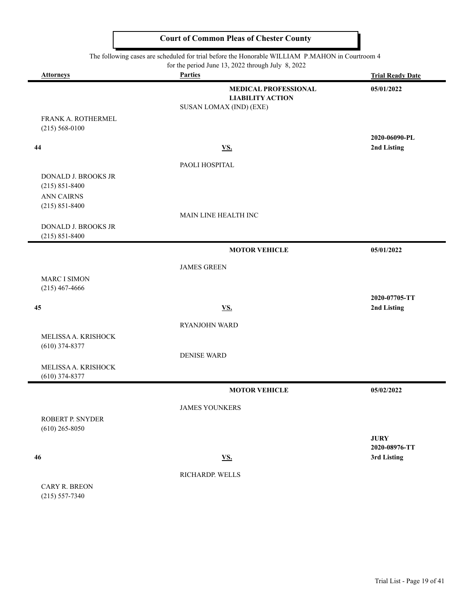ı

|                                                  | The following cases are scheduled for trial before the Honorable WILLIAM P.MAHON in Courtroom 4 |                                             |
|--------------------------------------------------|-------------------------------------------------------------------------------------------------|---------------------------------------------|
| <b>Attorneys</b>                                 | for the period June 13, 2022 through July 8, 2022<br><b>Parties</b>                             | <b>Trial Ready Date</b>                     |
|                                                  | <b>MEDICAL PROFESSIONAL</b><br><b>LIABILITY ACTION</b><br>SUSAN LOMAX (IND) (EXE)               | 05/01/2022                                  |
| FRANK A. ROTHERMEL<br>$(215) 568 - 0100$         |                                                                                                 |                                             |
| 44                                               | <u>VS.</u>                                                                                      | 2020-06090-PL<br>2nd Listing                |
|                                                  | PAOLI HOSPITAL                                                                                  |                                             |
| DONALD J. BROOKS JR<br>$(215) 851 - 8400$        |                                                                                                 |                                             |
| <b>ANN CAIRNS</b><br>$(215) 851 - 8400$          |                                                                                                 |                                             |
|                                                  | MAIN LINE HEALTH INC                                                                            |                                             |
| <b>DONALD J. BROOKS JR</b><br>$(215) 851 - 8400$ |                                                                                                 |                                             |
|                                                  | <b>MOTOR VEHICLE</b>                                                                            | 05/01/2022                                  |
|                                                  | <b>JAMES GREEN</b>                                                                              |                                             |
| <b>MARC I SIMON</b><br>$(215)$ 467-4666          |                                                                                                 |                                             |
| 45                                               | <u>VS.</u>                                                                                      | 2020-07705-TT<br>2nd Listing                |
|                                                  | <b>RYANJOHN WARD</b>                                                                            |                                             |
| MELISSA A. KRISHOCK<br>$(610)$ 374-8377          |                                                                                                 |                                             |
| MELISSA A. KRISHOCK                              | <b>DENISE WARD</b>                                                                              |                                             |
| $(610)$ 374-8377                                 |                                                                                                 |                                             |
|                                                  | <b>MOTOR VEHICLE</b>                                                                            | 05/02/2022                                  |
|                                                  | <b>JAMES YOUNKERS</b>                                                                           |                                             |
| ROBERT P. SNYDER<br>$(610)$ 265-8050             |                                                                                                 |                                             |
| 46                                               | <b>VS.</b>                                                                                      | <b>JURY</b><br>2020-08976-TT<br>3rd Listing |
|                                                  |                                                                                                 |                                             |
| CARY R. BREON<br>$(215) 557 - 7340$              | RICHARDP. WELLS                                                                                 |                                             |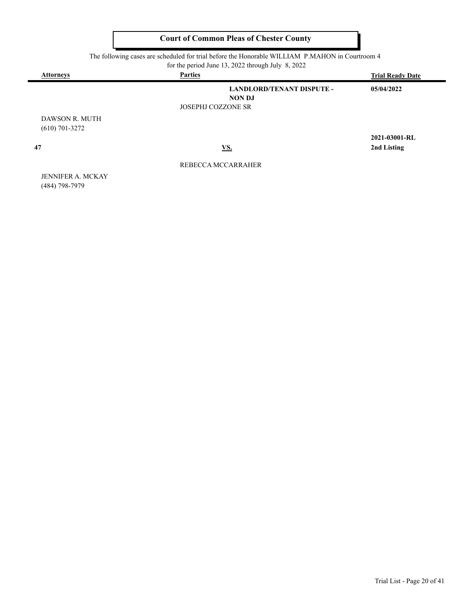| The following cases are scheduled for trial before the Honorable WILLIAM P.MAHON in Courtroom 4 |  |
|-------------------------------------------------------------------------------------------------|--|
|-------------------------------------------------------------------------------------------------|--|

| for the period June 13, 2022 through July 8, 2022 |  |
|---------------------------------------------------|--|
|---------------------------------------------------|--|

| <b>Attorneys</b>                   | <b>Parties</b>                                    | <b>Trial Ready Date</b> |
|------------------------------------|---------------------------------------------------|-------------------------|
|                                    | <b>LANDLORD/TENANT DISPUTE -</b><br><b>NON DJ</b> | 05/04/2022              |
|                                    | <b>JOSEPHJ COZZONE SR</b>                         |                         |
| DAWSON R. MUTH<br>$(610)$ 701-3272 |                                                   |                         |
|                                    |                                                   | 2021-03001-RL           |
| 47                                 | <u>VS.</u>                                        | 2nd Listing             |

REBECCA MCCARRAHER

JENNIFER A. MCKAY (484) 798-7979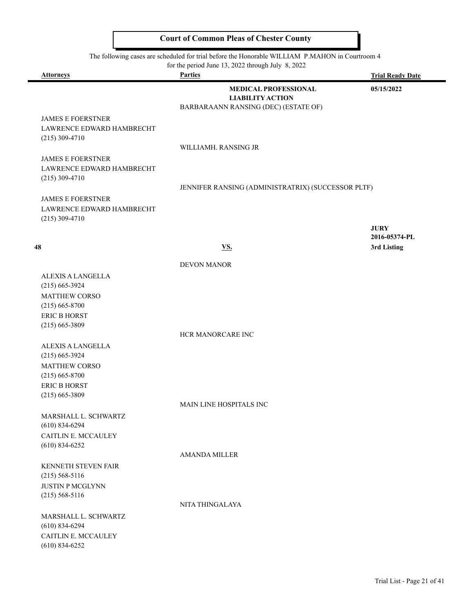|           | The following cases are scheduled for trial before the Honorable WILLIAM P.MAHON in Courtroom 4 |                         |
|-----------|-------------------------------------------------------------------------------------------------|-------------------------|
|           | for the period June 13, 2022 through July $8, 2022$                                             |                         |
| Attorneys | <b>Parties</b>                                                                                  | <b>Trial Ready Date</b> |
|           | <b>MEDICAL PROFESSIONAL</b>                                                                     | 05/15/2022              |
|           | <b>LIABILITY ACTION</b>                                                                         |                         |
|           | BARBARAANN RANSING (DEC) (ESTATE OF)                                                            |                         |

JENNIFER RANSING (ADMINISTRATRIX) (SUCCESSOR PLTF)

JAMES E FOERSTNER LAWRENCE EDWARD HAMBRECHT (215) 309-4710

WILLIAMH. RANSING JR

JAMES E FOERSTNER LAWRENCE EDWARD HAMBRECHT (215) 309-4710

JAMES E FOERSTNER LAWRENCE EDWARD HAMBRECHT (215) 309-4710

 **48 VS. 3rd Listing**

|                            | <b>DEVON MANOR</b>             |
|----------------------------|--------------------------------|
| <b>ALEXIS A LANGELLA</b>   |                                |
| $(215)$ 665-3924           |                                |
| <b>MATTHEW CORSO</b>       |                                |
| $(215)$ 665-8700           |                                |
| <b>ERIC B HORST</b>        |                                |
| $(215)$ 665-3809           |                                |
|                            | <b>HCR MANORCARE INC</b>       |
| <b>ALEXIS A LANGELLA</b>   |                                |
| $(215)$ 665-3924           |                                |
| <b>MATTHEW CORSO</b>       |                                |
| $(215)$ 665-8700           |                                |
| <b>ERIC B HORST</b>        |                                |
| $(215)$ 665-3809           |                                |
|                            | <b>MAIN LINE HOSPITALS INC</b> |
| MARSHALL L. SCHWARTZ       |                                |
| $(610)$ 834-6294           |                                |
| CAITLIN E. MCCAULEY        |                                |
| $(610)$ 834-6252           |                                |
|                            | <b>AMANDA MILLER</b>           |
| <b>KENNETH STEVEN FAIR</b> |                                |
| $(215) 568 - 5116$         |                                |
| <b>JUSTIN P MCGLYNN</b>    |                                |
| $(215) 568 - 5116$         |                                |
|                            | NITA THINGALAYA                |
| MARSHALL L. SCHWARTZ       |                                |
| $(610)$ 834-6294           |                                |
| CAITLIN E. MCCAULEY        |                                |
| $(610)$ 834-6252           |                                |
|                            |                                |
|                            |                                |

**JURY**

**2016-05374-PL**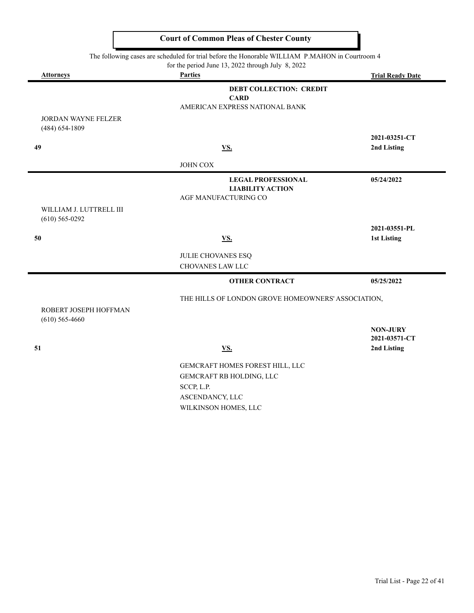| The following cases are scheduled for trial before the Honorable WILLIAM P.MAHON in Courtroom 4<br>for the period June 13, 2022 through July 8, 2022 |                                                    |                                  |
|------------------------------------------------------------------------------------------------------------------------------------------------------|----------------------------------------------------|----------------------------------|
| <b>Attorneys</b>                                                                                                                                     | <b>Parties</b>                                     | <b>Trial Ready Date</b>          |
|                                                                                                                                                      | <b>DEBT COLLECTION: CREDIT</b>                     |                                  |
|                                                                                                                                                      | <b>CARD</b>                                        |                                  |
|                                                                                                                                                      | AMERICAN EXPRESS NATIONAL BANK                     |                                  |
| JORDAN WAYNE FELZER<br>$(484) 654 - 1809$                                                                                                            |                                                    |                                  |
|                                                                                                                                                      |                                                    | 2021-03251-CT                    |
| 49                                                                                                                                                   | VS.                                                | 2nd Listing                      |
|                                                                                                                                                      | <b>JOHN COX</b>                                    |                                  |
|                                                                                                                                                      | <b>LEGAL PROFESSIONAL</b>                          | 05/24/2022                       |
|                                                                                                                                                      | <b>LIABILITY ACTION</b>                            |                                  |
| WILLIAM J. LUTTRELL III                                                                                                                              | AGF MANUFACTURING CO                               |                                  |
| $(610)$ 565-0292                                                                                                                                     |                                                    |                                  |
|                                                                                                                                                      |                                                    | 2021-03551-PL                    |
| 50                                                                                                                                                   | <u>VS.</u>                                         | 1st Listing                      |
|                                                                                                                                                      | JULIE CHOVANES ESQ                                 |                                  |
|                                                                                                                                                      | <b>CHOVANES LAW LLC</b>                            |                                  |
|                                                                                                                                                      | <b>OTHER CONTRACT</b>                              | 05/25/2022                       |
|                                                                                                                                                      | THE HILLS OF LONDON GROVE HOMEOWNERS' ASSOCIATION, |                                  |
| ROBERT JOSEPH HOFFMAN                                                                                                                                |                                                    |                                  |
| $(610)$ 565-4660                                                                                                                                     |                                                    |                                  |
|                                                                                                                                                      |                                                    | <b>NON-JURY</b><br>2021-03571-CT |
| 51                                                                                                                                                   | <u>VS.</u>                                         | 2nd Listing                      |
|                                                                                                                                                      |                                                    |                                  |
|                                                                                                                                                      | GEMCRAFT HOMES FOREST HILL, LLC                    |                                  |
|                                                                                                                                                      | GEMCRAFT RB HOLDING, LLC<br>SCCP, L.P.             |                                  |
|                                                                                                                                                      | ASCENDANCY, LLC                                    |                                  |
|                                                                                                                                                      |                                                    |                                  |

WILKINSON HOMES, LLC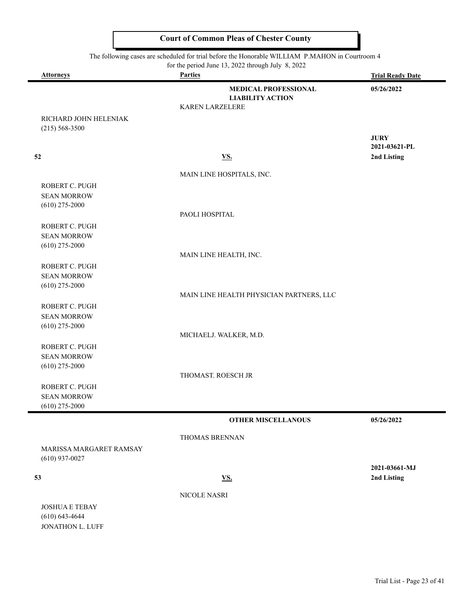$\overline{\phantom{0}}$ 

|                         | The following cases are scheduled for trial before the Honorable WILLIAM P.MAHON in Courtroom 4 |                         |
|-------------------------|-------------------------------------------------------------------------------------------------|-------------------------|
| Attorneys               | for the period June 13, 2022 through July 8, 2022<br><b>Parties</b>                             | <b>Trial Ready Date</b> |
|                         | <b>MEDICAL PROFESSIONAL</b>                                                                     | 05/26/2022              |
|                         | <b>LIABILITY ACTION</b>                                                                         |                         |
|                         | KAREN LARZELERE                                                                                 |                         |
| RICHARD JOHN HELENIAK   |                                                                                                 |                         |
| $(215) 568 - 3500$      |                                                                                                 |                         |
|                         |                                                                                                 | <b>JURY</b>             |
|                         |                                                                                                 | 2021-03621-PL           |
| 52                      | VS.                                                                                             | 2nd Listing             |
|                         | MAIN LINE HOSPITALS, INC.                                                                       |                         |
| ROBERT C. PUGH          |                                                                                                 |                         |
| <b>SEAN MORROW</b>      |                                                                                                 |                         |
| $(610)$ 275-2000        |                                                                                                 |                         |
|                         | PAOLI HOSPITAL                                                                                  |                         |
| ROBERT C. PUGH          |                                                                                                 |                         |
| <b>SEAN MORROW</b>      |                                                                                                 |                         |
| $(610)$ 275-2000        |                                                                                                 |                         |
|                         | MAIN LINE HEALTH, INC.                                                                          |                         |
| ROBERT C. PUGH          |                                                                                                 |                         |
| <b>SEAN MORROW</b>      |                                                                                                 |                         |
| $(610)$ 275-2000        |                                                                                                 |                         |
|                         | MAIN LINE HEALTH PHYSICIAN PARTNERS, LLC                                                        |                         |
| ROBERT C. PUGH          |                                                                                                 |                         |
| <b>SEAN MORROW</b>      |                                                                                                 |                         |
| $(610)$ 275-2000        |                                                                                                 |                         |
|                         | MICHAELJ. WALKER, M.D.                                                                          |                         |
| ROBERT C. PUGH          |                                                                                                 |                         |
| <b>SEAN MORROW</b>      |                                                                                                 |                         |
| $(610)$ 275-2000        |                                                                                                 |                         |
|                         | THOMAST. ROESCH JR                                                                              |                         |
| ROBERT C. PUGH          |                                                                                                 |                         |
| <b>SEAN MORROW</b>      |                                                                                                 |                         |
| $(610)$ 275-2000        |                                                                                                 |                         |
|                         | <b>OTHER MISCELLANOUS</b>                                                                       | 05/26/2022              |
|                         | THOMAS BRENNAN                                                                                  |                         |
| MARISSA MARGARET RAMSAY |                                                                                                 |                         |
| $(610)$ 937-0027        |                                                                                                 |                         |
|                         |                                                                                                 | 2021-03661-MJ           |
| 53                      | <b>VS.</b>                                                                                      | 2nd Listing             |
|                         |                                                                                                 |                         |
|                         | NICOLE NASRI                                                                                    |                         |
| <b>JOSHUA E TEBAY</b>   |                                                                                                 |                         |
| $(610) 643 - 4644$      |                                                                                                 |                         |
| JONATHON L. LUFF        |                                                                                                 |                         |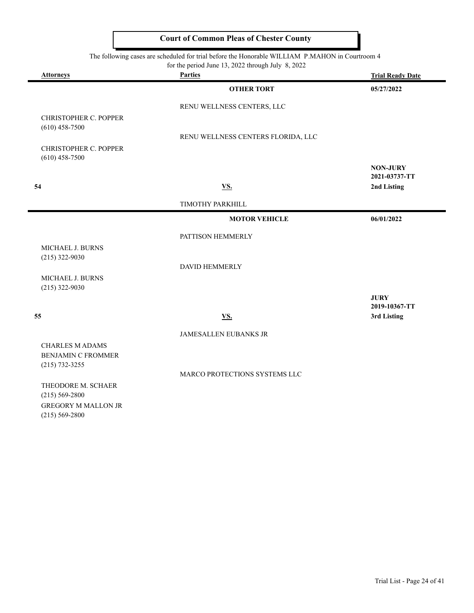The following cases are scheduled for trial before the Honorable WILLIAM P.MAHON in Courtroom 4

| c<br>for the period June 13, 2022 through July 8, 2022                    |                                    |                                  |
|---------------------------------------------------------------------------|------------------------------------|----------------------------------|
| <b>Attorneys</b>                                                          | <b>Parties</b>                     | <b>Trial Ready Date</b>          |
|                                                                           | <b>OTHER TORT</b>                  | 05/27/2022                       |
|                                                                           | RENU WELLNESS CENTERS, LLC         |                                  |
| <b>CHRISTOPHER C. POPPER</b><br>$(610)$ 458-7500                          | RENU WELLNESS CENTERS FLORIDA, LLC |                                  |
| <b>CHRISTOPHER C. POPPER</b><br>$(610)$ 458-7500                          |                                    |                                  |
|                                                                           |                                    | <b>NON-JURY</b><br>2021-03737-TT |
| 54                                                                        | <b>VS.</b>                         | 2nd Listing                      |
|                                                                           | TIMOTHY PARKHILL                   |                                  |
|                                                                           | <b>MOTOR VEHICLE</b>               | 06/01/2022                       |
|                                                                           | PATTISON HEMMERLY                  |                                  |
| MICHAEL J. BURNS<br>$(215)$ 322-9030                                      |                                    |                                  |
| MICHAEL J. BURNS                                                          | <b>DAVID HEMMERLY</b>              |                                  |
| $(215)$ 322-9030                                                          |                                    | <b>JURY</b><br>2019-10367-TT     |
| 55                                                                        | <b>VS.</b>                         | 3rd Listing                      |
|                                                                           | <b>JAMESALLEN EUBANKS JR</b>       |                                  |
| <b>CHARLES M ADAMS</b><br><b>BENJAMIN C FROMMER</b><br>$(215) 732 - 3255$ |                                    |                                  |
|                                                                           | MARCO PROTECTIONS SYSTEMS LLC      |                                  |
| THEODORE M. SCHAER                                                        |                                    |                                  |

(215) 569-2800 GREGORY M MALLON JR (215) 569-2800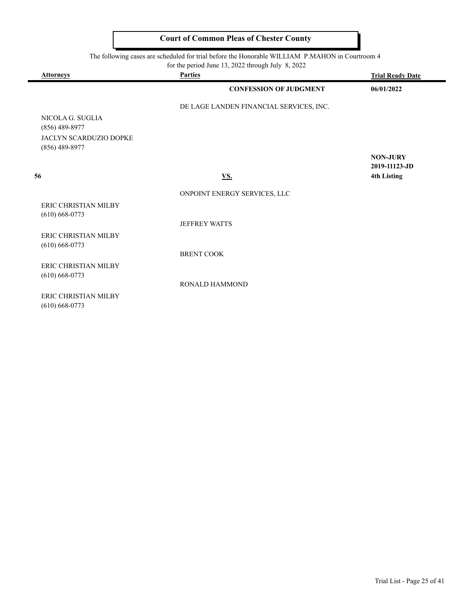| for the period June 13, 2022 through July $8, 2022$ |                                         |                         |
|-----------------------------------------------------|-----------------------------------------|-------------------------|
| <b>Attorneys</b>                                    | <b>Parties</b>                          | <b>Trial Ready Date</b> |
|                                                     | <b>CONFESSION OF JUDGMENT</b>           | 06/01/2022              |
|                                                     | DE LAGE LANDEN FINANCIAL SERVICES, INC. |                         |
| NICOLA G. SUGLIA                                    |                                         |                         |
| $(856)$ 489-8977                                    |                                         |                         |
| <b>JACLYN SCARDUZIO DOPKE</b>                       |                                         |                         |
| $(856)$ 489-8977                                    |                                         | <b>NON-JURY</b>         |
|                                                     |                                         | 2019-11123-JD           |
| 56                                                  | <u>VS.</u>                              | <b>4th Listing</b>      |
|                                                     | ONPOINT ENERGY SERVICES, LLC            |                         |
| ERIC CHRISTIAN MILBY<br>$(610) 668 - 0773$          |                                         |                         |
|                                                     | <b>JEFFREY WATTS</b>                    |                         |
| ERIC CHRISTIAN MILBY<br>$(610) 668 - 0773$          |                                         |                         |
|                                                     | <b>BRENT COOK</b>                       |                         |
| <b>ERIC CHRISTIAN MILBY</b>                         |                                         |                         |
| $(610) 668 - 0773$                                  |                                         |                         |
|                                                     | RONALD HAMMOND                          |                         |
| <b>ERIC CHRISTIAN MILBY</b>                         |                                         |                         |
| $(610)$ 668-0773                                    |                                         |                         |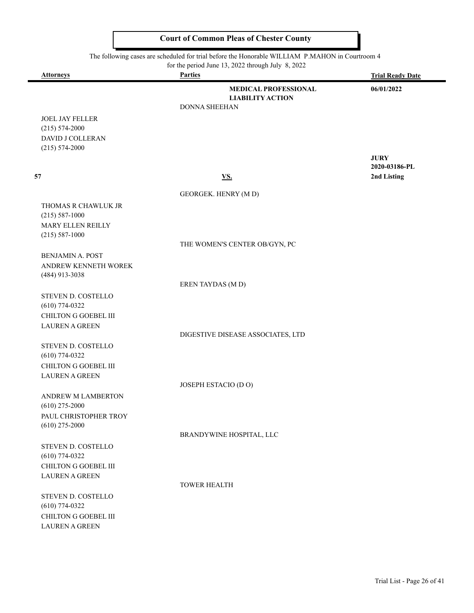|                                                 | The following cases are scheduled for trial before the Honorable WILLIAM P.MAHON in Courtroom 4<br>for the period June 13, 2022 through July 8, 2022 |                         |  |
|-------------------------------------------------|------------------------------------------------------------------------------------------------------------------------------------------------------|-------------------------|--|
| <b>Attorneys</b>                                | <b>Parties</b>                                                                                                                                       | <b>Trial Ready Date</b> |  |
|                                                 | <b>MEDICAL PROFESSIONAL</b><br><b>LIABILITY ACTION</b><br><b>DONNA SHEEHAN</b>                                                                       | 06/01/2022              |  |
| <b>JOEL JAY FELLER</b>                          |                                                                                                                                                      |                         |  |
| $(215) 574 - 2000$                              |                                                                                                                                                      |                         |  |
| DAVID J COLLERAN                                |                                                                                                                                                      |                         |  |
| $(215) 574 - 2000$                              |                                                                                                                                                      | <b>JURY</b>             |  |
|                                                 |                                                                                                                                                      | 2020-03186-PL           |  |
| 57                                              | $\underline{\mathbf{V}}\underline{\mathbf{S}}$ .                                                                                                     | 2nd Listing             |  |
|                                                 | GEORGEK. HENRY (MD)                                                                                                                                  |                         |  |
| THOMAS R CHAWLUK JR                             |                                                                                                                                                      |                         |  |
| $(215) 587 - 1000$                              |                                                                                                                                                      |                         |  |
| MARY ELLEN REILLY                               |                                                                                                                                                      |                         |  |
| $(215) 587 - 1000$                              |                                                                                                                                                      |                         |  |
|                                                 | THE WOMEN'S CENTER OB/GYN, PC                                                                                                                        |                         |  |
| <b>BENJAMIN A. POST</b>                         |                                                                                                                                                      |                         |  |
| ANDREW KENNETH WOREK<br>(484) 913-3038          |                                                                                                                                                      |                         |  |
|                                                 | EREN TAYDAS (M D)                                                                                                                                    |                         |  |
| STEVEN D. COSTELLO                              |                                                                                                                                                      |                         |  |
| $(610)$ 774-0322                                |                                                                                                                                                      |                         |  |
| <b>CHILTON G GOEBEL III</b>                     |                                                                                                                                                      |                         |  |
| <b>LAUREN A GREEN</b>                           |                                                                                                                                                      |                         |  |
|                                                 | DIGESTIVE DISEASE ASSOCIATES, LTD                                                                                                                    |                         |  |
| STEVEN D. COSTELLO                              |                                                                                                                                                      |                         |  |
| $(610)$ 774-0322<br><b>CHILTON G GOEBEL III</b> |                                                                                                                                                      |                         |  |
| <b>LAUREN A GREEN</b>                           |                                                                                                                                                      |                         |  |
|                                                 | JOSEPH ESTACIO (D O)                                                                                                                                 |                         |  |
| ANDREW M LAMBERTON                              |                                                                                                                                                      |                         |  |
| $(610)$ 275-2000                                |                                                                                                                                                      |                         |  |
| PAUL CHRISTOPHER TROY                           |                                                                                                                                                      |                         |  |
| $(610)$ 275-2000                                |                                                                                                                                                      |                         |  |
|                                                 | BRANDYWINE HOSPITAL, LLC                                                                                                                             |                         |  |
| STEVEN D. COSTELLO<br>$(610)$ 774-0322          |                                                                                                                                                      |                         |  |
| CHILTON G GOEBEL III                            |                                                                                                                                                      |                         |  |
| <b>LAUREN A GREEN</b>                           |                                                                                                                                                      |                         |  |
|                                                 | <b>TOWER HEALTH</b>                                                                                                                                  |                         |  |
| STEVEN D. COSTELLO                              |                                                                                                                                                      |                         |  |
| $(610)$ 774-0322                                |                                                                                                                                                      |                         |  |
| <b>CHILTON G GOEBEL III</b>                     |                                                                                                                                                      |                         |  |
| <b>LAUREN A GREEN</b>                           |                                                                                                                                                      |                         |  |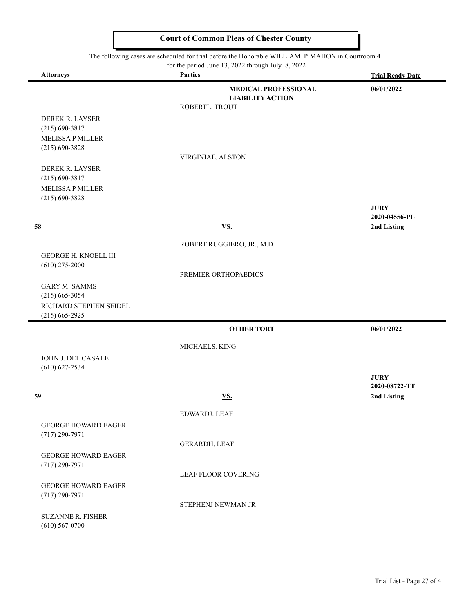#### The following cases are scheduled for trial before the Honorable WILLIAM P.MAHON in Courtroom 4

۰

|                                                | for the period June 13, 2022 through July 8, 2022 |                              |
|------------------------------------------------|---------------------------------------------------|------------------------------|
| <b>Attorneys</b>                               | <b>Parties</b>                                    | <b>Trial Ready Date</b>      |
|                                                | <b>MEDICAL PROFESSIONAL</b>                       | 06/01/2022                   |
|                                                | <b>LIABILITY ACTION</b><br>ROBERTL. TROUT         |                              |
| DEREK R. LAYSER                                |                                                   |                              |
| $(215) 690 - 3817$                             |                                                   |                              |
| <b>MELISSA P MILLER</b>                        |                                                   |                              |
| $(215) 690 - 3828$                             | VIRGINIAE. ALSTON                                 |                              |
| DEREK R. LAYSER                                |                                                   |                              |
| $(215) 690 - 3817$                             |                                                   |                              |
| <b>MELISSA P MILLER</b>                        |                                                   |                              |
| $(215) 690 - 3828$                             |                                                   |                              |
|                                                |                                                   | <b>JURY</b><br>2020-04556-PL |
| 58                                             | <u>VS.</u>                                        | 2nd Listing                  |
|                                                | ROBERT RUGGIERO, JR., M.D.                        |                              |
| <b>GEORGE H. KNOELL III</b>                    |                                                   |                              |
| $(610)$ 275-2000                               |                                                   |                              |
|                                                | PREMIER ORTHOPAEDICS                              |                              |
| <b>GARY M. SAMMS</b>                           |                                                   |                              |
| $(215)$ 665-3054<br>RICHARD STEPHEN SEIDEL     |                                                   |                              |
| $(215)$ 665-2925                               |                                                   |                              |
|                                                | <b>OTHER TORT</b>                                 | 06/01/2022                   |
|                                                | MICHAELS. KING                                    |                              |
| JOHN J. DEL CASALE                             |                                                   |                              |
| $(610) 627 - 2534$                             |                                                   |                              |
|                                                |                                                   | <b>JURY</b>                  |
| 59                                             | <u>VS.</u>                                        | 2020-08722-TT<br>2nd Listing |
|                                                |                                                   |                              |
|                                                | EDWARDJ. LEAF                                     |                              |
| <b>GEORGE HOWARD EAGER</b><br>$(717)$ 290-7971 |                                                   |                              |
|                                                | <b>GERARDH. LEAF</b>                              |                              |
| <b>GEORGE HOWARD EAGER</b>                     |                                                   |                              |
| $(717)$ 290-7971                               |                                                   |                              |
|                                                | LEAF FLOOR COVERING                               |                              |
| <b>GEORGE HOWARD EAGER</b><br>$(717)$ 290-7971 |                                                   |                              |
|                                                | STEPHENJ NEWMAN JR                                |                              |
| <b>SUZANNE R. FISHER</b>                       |                                                   |                              |
| $(610)$ 567-0700                               |                                                   |                              |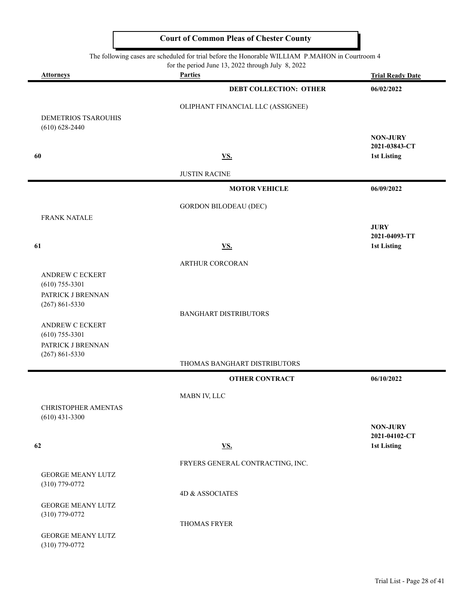|                                              | for the period June 13, 2022 through July 8, 2022 |                                  |
|----------------------------------------------|---------------------------------------------------|----------------------------------|
| <b>Attorneys</b>                             | <b>Parties</b>                                    | <b>Trial Ready Date</b>          |
|                                              | <b>DEBT COLLECTION: OTHER</b>                     | 06/02/2022                       |
|                                              | OLIPHANT FINANCIAL LLC (ASSIGNEE)                 |                                  |
| DEMETRIOS TSAROUHIS                          |                                                   |                                  |
| $(610) 628 - 2440$                           |                                                   |                                  |
|                                              |                                                   | <b>NON-JURY</b><br>2021-03843-CT |
| 60                                           | <b>VS.</b>                                        | <b>1st Listing</b>               |
|                                              | <b>JUSTIN RACINE</b>                              |                                  |
|                                              |                                                   |                                  |
|                                              | <b>MOTOR VEHICLE</b>                              | 06/09/2022                       |
|                                              | <b>GORDON BILODEAU (DEC)</b>                      |                                  |
| <b>FRANK NATALE</b>                          |                                                   |                                  |
|                                              |                                                   | <b>JURY</b><br>2021-04093-TT     |
| 61                                           | <b>VS.</b>                                        | <b>1st Listing</b>               |
|                                              | ARTHUR CORCORAN                                   |                                  |
| <b>ANDREW C ECKERT</b>                       |                                                   |                                  |
| $(610)$ 755-3301                             |                                                   |                                  |
| PATRICK J BRENNAN                            |                                                   |                                  |
| $(267) 861 - 5330$                           | <b>BANGHART DISTRIBUTORS</b>                      |                                  |
| ANDREW C ECKERT                              |                                                   |                                  |
| $(610)$ 755-3301                             |                                                   |                                  |
| PATRICK J BRENNAN                            |                                                   |                                  |
| $(267) 861 - 5330$                           | THOMAS BANGHART DISTRIBUTORS                      |                                  |
|                                              |                                                   |                                  |
|                                              | <b>OTHER CONTRACT</b>                             | 06/10/2022                       |
|                                              | MABN IV, LLC                                      |                                  |
| CHRISTOPHER AMENTAS                          |                                                   |                                  |
| $(610)$ 431-3300                             |                                                   | <b>NON-JURY</b>                  |
|                                              |                                                   | 2021-04102-CT                    |
| 62                                           | <b>VS.</b>                                        | <b>1st Listing</b>               |
|                                              | FRYERS GENERAL CONTRACTING, INC.                  |                                  |
| <b>GEORGE MEANY LUTZ</b>                     |                                                   |                                  |
| $(310)$ 779-0772                             |                                                   |                                  |
|                                              | 4D & ASSOCIATES                                   |                                  |
| <b>GEORGE MEANY LUTZ</b><br>$(310)$ 779-0772 |                                                   |                                  |
|                                              | THOMAS FRYER                                      |                                  |
| <b>GEORGE MEANY LUTZ</b>                     |                                                   |                                  |
| $(310)$ 779-0772                             |                                                   |                                  |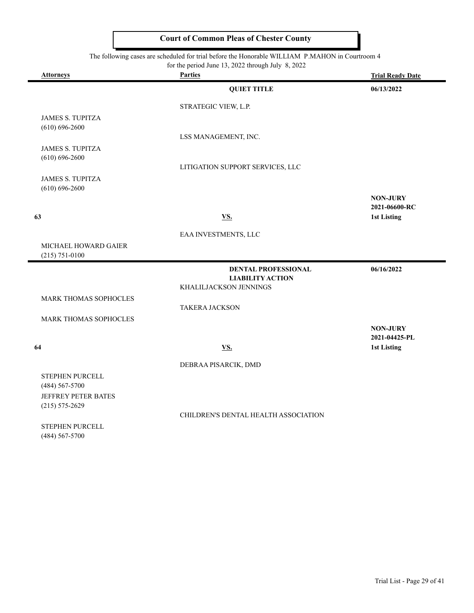|                                               | for the period June 13, 2022 through July 8, 2022     |                                  |
|-----------------------------------------------|-------------------------------------------------------|----------------------------------|
| <b>Attorneys</b>                              | <b>Parties</b>                                        | <b>Trial Ready Date</b>          |
|                                               | <b>QUIET TITLE</b>                                    | 06/13/2022                       |
|                                               | STRATEGIC VIEW, L.P.                                  |                                  |
| <b>JAMES S. TUPITZA</b>                       |                                                       |                                  |
| $(610) 696 - 2600$                            |                                                       |                                  |
|                                               | LSS MANAGEMENT, INC.                                  |                                  |
| <b>JAMES S. TUPITZA</b><br>$(610) 696 - 2600$ |                                                       |                                  |
|                                               | LITIGATION SUPPORT SERVICES, LLC                      |                                  |
| <b>JAMES S. TUPITZA</b>                       |                                                       |                                  |
| $(610) 696 - 2600$                            |                                                       |                                  |
|                                               |                                                       | <b>NON-JURY</b>                  |
| 63                                            | VS.                                                   | 2021-06600-RC<br>1st Listing     |
|                                               |                                                       |                                  |
|                                               | EAA INVESTMENTS, LLC                                  |                                  |
| <b>MICHAEL HOWARD GAIER</b>                   |                                                       |                                  |
| $(215) 751 - 0100$                            |                                                       |                                  |
|                                               | <b>DENTAL PROFESSIONAL</b><br><b>LIABILITY ACTION</b> | 06/16/2022                       |
|                                               | KHALILJACKSON JENNINGS                                |                                  |
| <b>MARK THOMAS SOPHOCLES</b>                  |                                                       |                                  |
|                                               | <b>TAKERA JACKSON</b>                                 |                                  |
| <b>MARK THOMAS SOPHOCLES</b>                  |                                                       |                                  |
|                                               |                                                       | <b>NON-JURY</b><br>2021-04425-PL |
| 64                                            | <b>VS.</b>                                            | 1st Listing                      |
|                                               |                                                       |                                  |
|                                               | DEBRAA PISARCIK, DMD                                  |                                  |
| STEPHEN PURCELL                               |                                                       |                                  |
| (484) 567-5700<br>JEFFREY PETER BATES         |                                                       |                                  |
| $(215) 575 - 2629$                            |                                                       |                                  |
|                                               | CHILDREN'S DENTAL HEALTH ASSOCIATION                  |                                  |
| STEPHEN PURCELL                               |                                                       |                                  |
| $(484) 567 - 5700$                            |                                                       |                                  |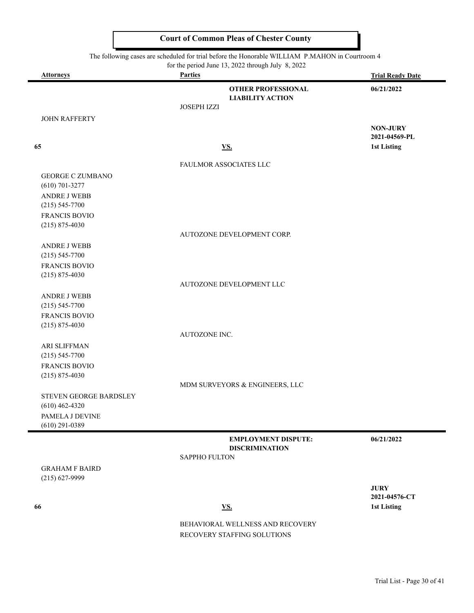$\blacksquare$ 

| The following cases are scheduled for trial before the Honorable WILLIAM P.MAHON in Courtroom 4 |                                                                     |                              |
|-------------------------------------------------------------------------------------------------|---------------------------------------------------------------------|------------------------------|
| <b>Attorneys</b>                                                                                | for the period June 13, 2022 through July 8, 2022<br><b>Parties</b> | <b>Trial Ready Date</b>      |
|                                                                                                 |                                                                     |                              |
|                                                                                                 | <b>OTHER PROFESSIONAL</b><br><b>LIABILITY ACTION</b>                | 06/21/2022                   |
|                                                                                                 | JOSEPH IZZI                                                         |                              |
| <b>JOHN RAFFERTY</b>                                                                            |                                                                     |                              |
|                                                                                                 |                                                                     | <b>NON-JURY</b>              |
|                                                                                                 |                                                                     | 2021-04569-PL                |
| 65                                                                                              | <u>VS.</u>                                                          | 1st Listing                  |
|                                                                                                 | FAULMOR ASSOCIATES LLC                                              |                              |
| <b>GEORGE C ZUMBANO</b>                                                                         |                                                                     |                              |
| $(610)$ 701-3277                                                                                |                                                                     |                              |
| ANDRE J WEBB                                                                                    |                                                                     |                              |
| $(215) 545 - 7700$                                                                              |                                                                     |                              |
| FRANCIS BOVIO                                                                                   |                                                                     |                              |
| $(215) 875 - 4030$                                                                              |                                                                     |                              |
|                                                                                                 | AUTOZONE DEVELOPMENT CORP.                                          |                              |
| <b>ANDRE J WEBB</b>                                                                             |                                                                     |                              |
| $(215) 545 - 7700$                                                                              |                                                                     |                              |
| <b>FRANCIS BOVIO</b>                                                                            |                                                                     |                              |
| $(215) 875 - 4030$                                                                              |                                                                     |                              |
|                                                                                                 | AUTOZONE DEVELOPMENT LLC                                            |                              |
| <b>ANDRE J WEBB</b>                                                                             |                                                                     |                              |
| $(215) 545 - 7700$                                                                              |                                                                     |                              |
| FRANCIS BOVIO                                                                                   |                                                                     |                              |
| $(215) 875 - 4030$                                                                              |                                                                     |                              |
|                                                                                                 | AUTOZONE INC.                                                       |                              |
| <b>ARI SLIFFMAN</b>                                                                             |                                                                     |                              |
| $(215) 545 - 7700$                                                                              |                                                                     |                              |
| FRANCIS BOVIO                                                                                   |                                                                     |                              |
| $(215) 875 - 4030$                                                                              |                                                                     |                              |
|                                                                                                 | MDM SURVEYORS & ENGINEERS, LLC                                      |                              |
| STEVEN GEORGE BARDSLEY                                                                          |                                                                     |                              |
| $(610)$ 462-4320                                                                                |                                                                     |                              |
| PAMELA J DEVINE                                                                                 |                                                                     |                              |
| $(610)$ 291-0389                                                                                |                                                                     |                              |
|                                                                                                 | <b>EMPLOYMENT DISPUTE:</b>                                          | 06/21/2022                   |
|                                                                                                 | <b>DISCRIMINATION</b>                                               |                              |
|                                                                                                 | SAPPHO FULTON                                                       |                              |
| <b>GRAHAM F BAIRD</b>                                                                           |                                                                     |                              |
| $(215) 627 - 9999$                                                                              |                                                                     |                              |
|                                                                                                 |                                                                     | <b>JURY</b><br>2021-04576-CT |
| 66                                                                                              | <b>VS.</b>                                                          | <b>1st Listing</b>           |
|                                                                                                 |                                                                     |                              |
|                                                                                                 | BEHAVIORAL WELLNESS AND RECOVERY                                    |                              |
|                                                                                                 | RECOVERY STAFFING SOLUTIONS                                         |                              |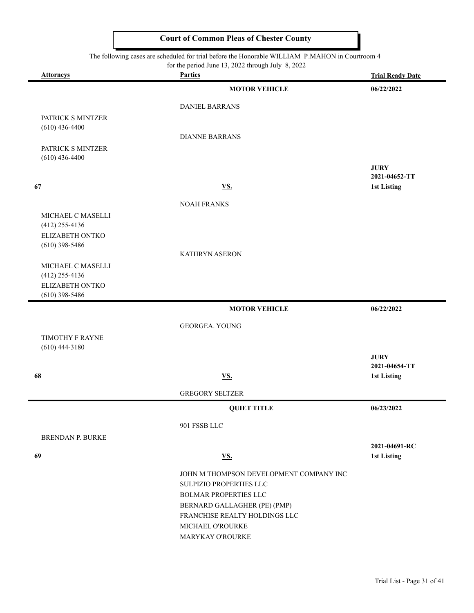| <b>Attorneys</b>                    | $101$ and period sume $15$ , $2022$ anough surf<br><b>Parties</b> | <b>Trial Ready Date</b>             |
|-------------------------------------|-------------------------------------------------------------------|-------------------------------------|
|                                     | <b>MOTOR VEHICLE</b>                                              | 06/22/2022                          |
|                                     | <b>DANIEL BARRANS</b>                                             |                                     |
| PATRICK S MINTZER                   |                                                                   |                                     |
| $(610)$ 436-4400                    | <b>DIANNE BARRANS</b>                                             |                                     |
| PATRICK S MINTZER                   |                                                                   |                                     |
| $(610)$ 436-4400                    |                                                                   | <b>JURY</b>                         |
| 67                                  | <b>VS.</b>                                                        | 2021-04652-TT<br><b>1st Listing</b> |
|                                     |                                                                   |                                     |
| MICHAEL C MASELLI                   | <b>NOAH FRANKS</b>                                                |                                     |
| $(412)$ 255-4136                    |                                                                   |                                     |
| ELIZABETH ONTKO                     |                                                                   |                                     |
| $(610)$ 398-5486                    | <b>KATHRYN ASERON</b>                                             |                                     |
| MICHAEL C MASELLI                   |                                                                   |                                     |
| $(412)$ 255-4136<br>ELIZABETH ONTKO |                                                                   |                                     |
| $(610)$ 398-5486                    |                                                                   |                                     |
|                                     | <b>MOTOR VEHICLE</b>                                              | 06/22/2022                          |
|                                     | <b>GEORGEA. YOUNG</b>                                             |                                     |
| TIMOTHY F RAYNE                     |                                                                   |                                     |
| $(610)$ 444-3180                    |                                                                   | <b>JURY</b>                         |
|                                     |                                                                   | 2021-04654-TT                       |
| 68                                  | <b>VS.</b>                                                        | 1st Listing                         |
|                                     | <b>GREGORY SELTZER</b>                                            |                                     |
|                                     | <b>QUIET TITLE</b>                                                | 06/23/2022                          |
|                                     | 901 FSSB LLC                                                      |                                     |
| <b>BRENDAN P. BURKE</b>             |                                                                   | 2021-04691-RC                       |
| 69                                  | <b>VS.</b>                                                        | <b>1st Listing</b>                  |
|                                     | JOHN M THOMPSON DEVELOPMENT COMPANY INC                           |                                     |
|                                     | SULPIZIO PROPERTIES LLC                                           |                                     |
|                                     | BOLMAR PROPERTIES LLC<br>BERNARD GALLAGHER (PE) (PMP)             |                                     |
|                                     | FRANCHISE REALTY HOLDINGS LLC                                     |                                     |
|                                     | MICHAEL O'ROURKE                                                  |                                     |
|                                     | MARYKAY O'ROURKE                                                  |                                     |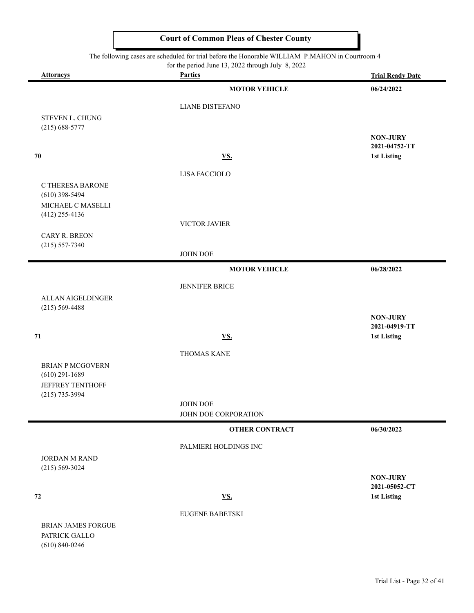#### The following cases are scheduled for trial before the Honorable WILLIAM P.MAHON in Courtroom 4

for the period June 13, 2022 through July 8, 2022

|                                       | for the period june $13$ , $2022$ through july $\delta$ , $2022$ |                                     |
|---------------------------------------|------------------------------------------------------------------|-------------------------------------|
| <b>Attorneys</b>                      | <b>Parties</b>                                                   | <b>Trial Ready Date</b>             |
|                                       | <b>MOTOR VEHICLE</b>                                             | 06/24/2022                          |
|                                       | <b>LIANE DISTEFANO</b>                                           |                                     |
| STEVEN L. CHUNG                       |                                                                  |                                     |
| $(215) 688 - 5777$                    |                                                                  |                                     |
|                                       |                                                                  | <b>NON-JURY</b><br>2021-04752-TT    |
| 70                                    | <b>VS.</b>                                                       | 1st Listing                         |
|                                       |                                                                  |                                     |
|                                       | LISA FACCIOLO                                                    |                                     |
| C THERESA BARONE                      |                                                                  |                                     |
| $(610)$ 398-5494                      |                                                                  |                                     |
| MICHAEL C MASELLI<br>$(412)$ 255-4136 |                                                                  |                                     |
|                                       | VICTOR JAVIER                                                    |                                     |
| CARY R. BREON                         |                                                                  |                                     |
| $(215) 557 - 7340$                    |                                                                  |                                     |
|                                       | JOHN DOE                                                         |                                     |
|                                       | <b>MOTOR VEHICLE</b>                                             | 06/28/2022                          |
|                                       | JENNIFER BRICE                                                   |                                     |
| ALLAN AIGELDINGER                     |                                                                  |                                     |
| $(215) 569 - 4488$                    |                                                                  |                                     |
|                                       |                                                                  | <b>NON-JURY</b>                     |
|                                       |                                                                  | 2021-04919-TT                       |
| 71                                    | <b>VS.</b>                                                       | <b>1st Listing</b>                  |
|                                       | THOMAS KANE                                                      |                                     |
| <b>BRIAN P MCGOVERN</b>               |                                                                  |                                     |
| $(610)$ 291-1689                      |                                                                  |                                     |
| <b>JEFFREY TENTHOFF</b>               |                                                                  |                                     |
| $(215)$ 735-3994                      |                                                                  |                                     |
|                                       | <b>JOHN DOE</b>                                                  |                                     |
|                                       | JOHN DOE CORPORATION                                             |                                     |
|                                       | <b>OTHER CONTRACT</b>                                            | 06/30/2022                          |
|                                       | PALMIERI HOLDINGS INC                                            |                                     |
| <b>JORDAN M RAND</b>                  |                                                                  |                                     |
| $(215) 569 - 3024$                    |                                                                  |                                     |
|                                       |                                                                  | <b>NON-JURY</b>                     |
| 72                                    | <b>VS.</b>                                                       | 2021-05052-CT<br><b>1st Listing</b> |
|                                       |                                                                  |                                     |
|                                       | <b>EUGENE BABETSKI</b>                                           |                                     |
| <b>BRIAN JAMES FORGUE</b>             |                                                                  |                                     |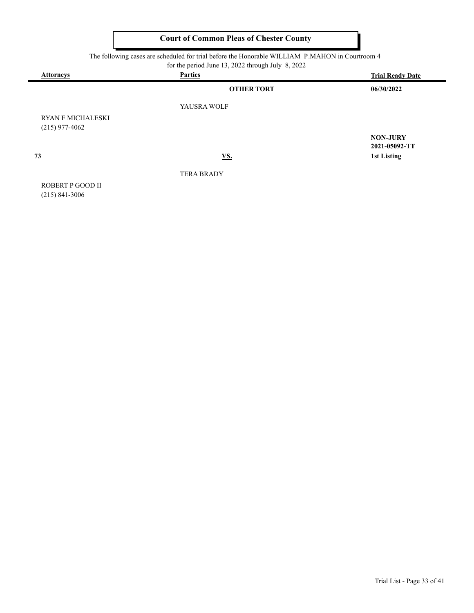| <b>Attorneys</b>                             | <b>Parties</b>    | <b>Trial Ready Date</b>          |
|----------------------------------------------|-------------------|----------------------------------|
|                                              | <b>OTHER TORT</b> | 06/30/2022                       |
|                                              | YAUSRA WOLF       |                                  |
| <b>RYAN F MICHALESKI</b><br>$(215)$ 977-4062 |                   |                                  |
|                                              |                   | <b>NON-JURY</b><br>2021-05092-TT |
| 73                                           | <u>VS.</u>        | <b>1st Listing</b>               |
|                                              | <b>TERA BRADY</b> |                                  |
| ROBERT P GOOD II                             |                   |                                  |
| $(215)$ 841-3006                             |                   |                                  |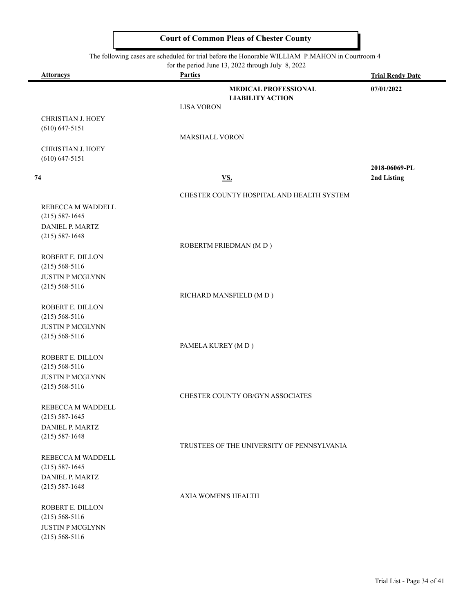|                                                                                                 | <b>Court of Common Pleas of Chester County</b>                      |                         |
|-------------------------------------------------------------------------------------------------|---------------------------------------------------------------------|-------------------------|
| The following cases are scheduled for trial before the Honorable WILLIAM P.MAHON in Courtroom 4 |                                                                     |                         |
| <b>Attorneys</b>                                                                                | for the period June 13, 2022 through July 8, 2022<br><b>Parties</b> | <b>Trial Ready Date</b> |
|                                                                                                 | <b>MEDICAL PROFESSIONAL</b><br><b>LIABILITY ACTION</b>              | 07/01/2022              |
|                                                                                                 | <b>LISA VORON</b>                                                   |                         |
| <b>CHRISTIAN J. HOEY</b><br>$(610) 647 - 5151$                                                  |                                                                     |                         |
|                                                                                                 | <b>MARSHALL VORON</b>                                               |                         |
| <b>CHRISTIAN J. HOEY</b><br>$(610) 647 - 5151$                                                  |                                                                     |                         |
|                                                                                                 |                                                                     | 2018-06069-PL           |
| 74                                                                                              | <b>VS.</b>                                                          | 2nd Listing             |
|                                                                                                 | CHESTER COUNTY HOSPITAL AND HEALTH SYSTEM                           |                         |
| REBECCA M WADDELL                                                                               |                                                                     |                         |
| $(215) 587 - 1645$                                                                              |                                                                     |                         |
| DANIEL P. MARTZ                                                                                 |                                                                     |                         |
| $(215) 587 - 1648$                                                                              |                                                                     |                         |
|                                                                                                 | ROBERTM FRIEDMAN (MD)                                               |                         |
| ROBERT E. DILLON                                                                                |                                                                     |                         |
| $(215) 568 - 5116$                                                                              |                                                                     |                         |
| <b>JUSTIN P MCGLYNN</b><br>$(215) 568 - 5116$                                                   |                                                                     |                         |
|                                                                                                 | RICHARD MANSFIELD (MD)                                              |                         |
| ROBERT E. DILLON                                                                                |                                                                     |                         |
| $(215) 568 - 5116$                                                                              |                                                                     |                         |
| <b>JUSTIN P MCGLYNN</b>                                                                         |                                                                     |                         |
| $(215) 568 - 5116$                                                                              |                                                                     |                         |
|                                                                                                 | PAMELA KUREY (MD)                                                   |                         |
| ROBERT E. DILLON                                                                                |                                                                     |                         |

CHESTER COUNTY OB/GYN ASSOCIATES

AXIA WOMEN'S HEALTH

REBECCA M WADDELL (215) 587-1645 DANIEL P. MARTZ (215) 587-1648

(215) 568-5116 JUSTIN P MCGLYNN (215) 568-5116

TRUSTEES OF THE UNIVERSITY OF PENNSYLVANIA

REBECCA M WADDELL (215) 587-1645 DANIEL P. MARTZ (215) 587-1648

ROBERT E. DILLON (215) 568-5116 JUSTIN P MCGLYNN (215) 568-5116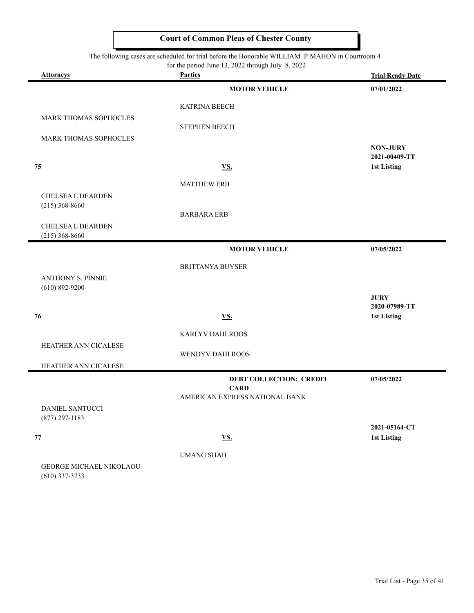#### The following cases are scheduled for trial before the Honorable WILLIAM P.MAHON in Courtroom 4

for the period June 13, 2022 through July 8, 2022

| <u>Attorneys</u>                            | For the period sune $13, 2022$ unough survey. $2022$<br><b>Parties</b> | <b>Trial Ready Date</b>          |
|---------------------------------------------|------------------------------------------------------------------------|----------------------------------|
|                                             | <b>MOTOR VEHICLE</b>                                                   | 07/01/2022                       |
|                                             | <b>KATRINA BEECH</b>                                                   |                                  |
| MARK THOMAS SOPHOCLES                       | <b>STEPHEN BEECH</b>                                                   |                                  |
| MARK THOMAS SOPHOCLES                       |                                                                        |                                  |
|                                             |                                                                        | <b>NON-JURY</b><br>2021-00409-TT |
| 75                                          | VS.                                                                    | <b>1st Listing</b>               |
|                                             | <b>MATTHEW ERB</b>                                                     |                                  |
| <b>CHELSEA L DEARDEN</b>                    |                                                                        |                                  |
| $(215)$ 368-8660                            | <b>BARBARA ERB</b>                                                     |                                  |
| <b>CHELSEA L DEARDEN</b>                    |                                                                        |                                  |
| $(215)$ 368-8660                            | <b>MOTOR VEHICLE</b>                                                   |                                  |
|                                             |                                                                        | 07/05/2022                       |
| <b>ANTHONY S. PINNIE</b>                    | <b>BRITTANYA BUYSER</b>                                                |                                  |
| $(610) 892 - 9200$                          |                                                                        |                                  |
|                                             |                                                                        | <b>JURY</b><br>2020-07989-TT     |
| 76                                          | VS.                                                                    | 1st Listing                      |
|                                             | KARLYV DAHLROOS                                                        |                                  |
| HEATHER ANN CICALESE                        | WENDYV DAHLROOS                                                        |                                  |
| HEATHER ANN CICALESE                        |                                                                        |                                  |
|                                             | <b>DEBT COLLECTION: CREDIT</b>                                         | 07/05/2022                       |
|                                             | <b>CARD</b><br>AMERICAN EXPRESS NATIONAL BANK                          |                                  |
| <b>DANIEL SANTUCCI</b>                      |                                                                        |                                  |
| $(877)$ 297-1183                            |                                                                        | 2021-05164-CT                    |
| ${\bf 77}$                                  | <b>VS.</b>                                                             | <b>1st Listing</b>               |
|                                             | <b>UMANG SHAH</b>                                                      |                                  |
| GEORGE MICHAEL NIKOLAOU<br>$(610)$ 337-3733 |                                                                        |                                  |
|                                             |                                                                        |                                  |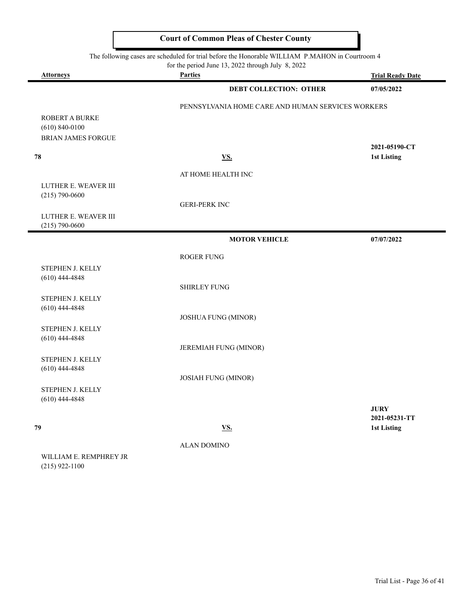The following cases are scheduled for trial before the Honorable WILLIAM P.MAHON in Courtroom 4

|                                                                   | for the period June 13, 2022 through July 8, 2022 |                              |
|-------------------------------------------------------------------|---------------------------------------------------|------------------------------|
| <b>Attorneys</b>                                                  | <b>Parties</b>                                    | <b>Trial Ready Date</b>      |
|                                                                   | <b>DEBT COLLECTION: OTHER</b>                     | 07/05/2022                   |
|                                                                   | PENNSYLVANIA HOME CARE AND HUMAN SERVICES WORKERS |                              |
| ROBERT A BURKE<br>$(610) 840 - 0100$<br><b>BRIAN JAMES FORGUE</b> |                                                   |                              |
|                                                                   |                                                   | 2021-05190-CT                |
| 78                                                                | <b>VS.</b>                                        | <b>1st Listing</b>           |
|                                                                   | AT HOME HEALTH INC                                |                              |
| LUTHER E. WEAVER III<br>$(215) 790 - 0600$                        |                                                   |                              |
|                                                                   | <b>GERI-PERK INC</b>                              |                              |
| LUTHER E. WEAVER III<br>$(215) 790 - 0600$                        |                                                   |                              |
|                                                                   | <b>MOTOR VEHICLE</b>                              | 07/07/2022                   |
|                                                                   | ROGER FUNG                                        |                              |
| STEPHEN J. KELLY                                                  |                                                   |                              |
| $(610)$ 444-4848                                                  | <b>SHIRLEY FUNG</b>                               |                              |
| STEPHEN J. KELLY                                                  |                                                   |                              |
| $(610)$ 444-4848                                                  |                                                   |                              |
|                                                                   | <b>JOSHUA FUNG (MINOR)</b>                        |                              |
| STEPHEN J. KELLY<br>$(610)$ 444-4848                              |                                                   |                              |
|                                                                   | JEREMIAH FUNG (MINOR)                             |                              |
| STEPHEN J. KELLY<br>$(610)$ 444-4848                              |                                                   |                              |
|                                                                   | <b>JOSIAH FUNG (MINOR)</b>                        |                              |
| STEPHEN J. KELLY<br>$(610)$ 444-4848                              |                                                   |                              |
|                                                                   |                                                   | <b>JURY</b><br>2021-05231-TT |
| 79                                                                | <b>VS.</b>                                        | 1st Listing                  |
|                                                                   | <b>ALAN DOMINO</b>                                |                              |

WILLIAM E. REMPHREY JR (215) 922-1100

 $\blacksquare$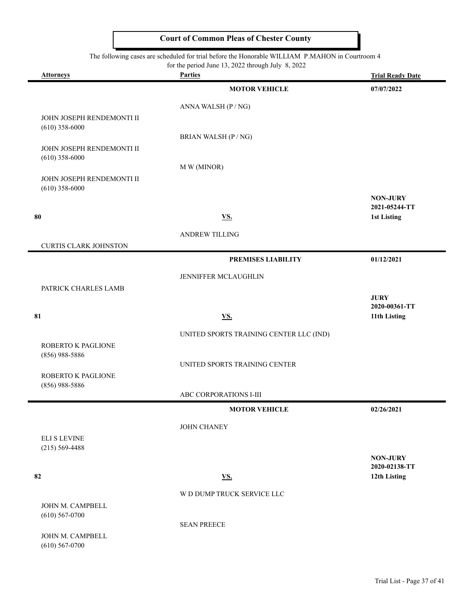#### The following cases are scheduled for trial before the Honorable WILLIAM P.MAHON in Courtroom 4

 $\equiv$ 

|                                               | for the period June 13, 2022 through July 8, 2022 |                                  |
|-----------------------------------------------|---------------------------------------------------|----------------------------------|
| <b>Attorneys</b>                              | <b>Parties</b>                                    | <b>Trial Ready Date</b>          |
|                                               | <b>MOTOR VEHICLE</b>                              | 07/07/2022                       |
|                                               | ANNA WALSH (P / NG)                               |                                  |
| JOHN JOSEPH RENDEMONTI II                     |                                                   |                                  |
| $(610)$ 358-6000                              |                                                   |                                  |
| JOHN JOSEPH RENDEMONTI II                     | BRIAN WALSH (P / NG)                              |                                  |
| $(610)$ 358-6000                              |                                                   |                                  |
|                                               | M W (MINOR)                                       |                                  |
| JOHN JOSEPH RENDEMONTI II<br>$(610)$ 358-6000 |                                                   |                                  |
|                                               |                                                   | <b>NON-JURY</b>                  |
|                                               |                                                   | 2021-05244-TT                    |
| 80                                            | <b>VS.</b>                                        | <b>1st Listing</b>               |
|                                               | ANDREW TILLING                                    |                                  |
| <b>CURTIS CLARK JOHNSTON</b>                  |                                                   |                                  |
|                                               | PREMISES LIABILITY                                | 01/12/2021                       |
|                                               | JENNIFFER MCLAUGHLIN                              |                                  |
| PATRICK CHARLES LAMB                          |                                                   |                                  |
|                                               |                                                   | <b>JURY</b><br>2020-00361-TT     |
| 81                                            | <b>VS.</b>                                        | 11th Listing                     |
|                                               | UNITED SPORTS TRAINING CENTER LLC (IND)           |                                  |
| ROBERTO K PAGLIONE                            |                                                   |                                  |
| $(856)$ 988-5886                              |                                                   |                                  |
|                                               | UNITED SPORTS TRAINING CENTER                     |                                  |
| ROBERTO K PAGLIONE<br>$(856)$ 988-5886        |                                                   |                                  |
|                                               | ABC CORPORATIONS I-III                            |                                  |
|                                               | <b>MOTOR VEHICLE</b>                              | 02/26/2021                       |
|                                               | JOHN CHANEY                                       |                                  |
| <b>ELI S LEVINE</b>                           |                                                   |                                  |
| $(215) 569 - 4488$                            |                                                   |                                  |
|                                               |                                                   | <b>NON-JURY</b><br>2020-02138-TT |
| 82                                            | <b>VS.</b>                                        | 12th Listing                     |
|                                               | W D DUMP TRUCK SERVICE LLC                        |                                  |
| JOHN M. CAMPBELL                              |                                                   |                                  |
| $(610)$ 567-0700                              |                                                   |                                  |
|                                               | <b>SEAN PREECE</b>                                |                                  |
| JOHN M. CAMPBELL<br>$(610)$ 567-0700          |                                                   |                                  |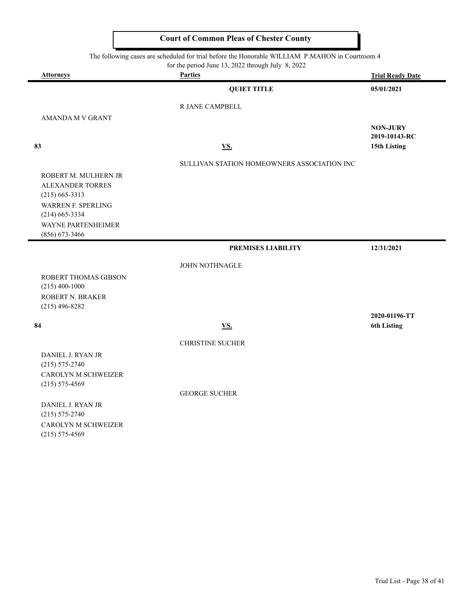| The following cases are scheduled for trial before the Honorable WILLIAM P.MAHON in Courtroom 4<br>for the period June 13, 2022 through July 8, 2022 |                                             |                                     |  |  |
|------------------------------------------------------------------------------------------------------------------------------------------------------|---------------------------------------------|-------------------------------------|--|--|
| <b>Attorneys</b>                                                                                                                                     | <b>Parties</b>                              | <b>Trial Ready Date</b>             |  |  |
|                                                                                                                                                      | <b>QUIET TITLE</b>                          | 05/01/2021                          |  |  |
|                                                                                                                                                      | R JANE CAMPBELL                             |                                     |  |  |
| <b>AMANDA M V GRANT</b>                                                                                                                              |                                             |                                     |  |  |
|                                                                                                                                                      |                                             | <b>NON-JURY</b><br>2019-10143-RC    |  |  |
| 83                                                                                                                                                   | <b>VS.</b>                                  | 15th Listing                        |  |  |
|                                                                                                                                                      | SULLIVAN STATION HOMEOWNERS ASSOCIATION INC |                                     |  |  |
| ROBERT M. MULHERN JR                                                                                                                                 |                                             |                                     |  |  |
| <b>ALEXANDER TORRES</b>                                                                                                                              |                                             |                                     |  |  |
| $(215)$ 665-3313<br><b>WARREN F. SPERLING</b>                                                                                                        |                                             |                                     |  |  |
| $(214)$ 665-3334                                                                                                                                     |                                             |                                     |  |  |
| WAYNE PARTENHEIMER                                                                                                                                   |                                             |                                     |  |  |
| $(856)$ 673-3466                                                                                                                                     |                                             |                                     |  |  |
|                                                                                                                                                      | PREMISES LIABILITY                          | 12/31/2021                          |  |  |
|                                                                                                                                                      | <b>JOHN NOTHNAGLE</b>                       |                                     |  |  |
| ROBERT THOMAS GIBSON                                                                                                                                 |                                             |                                     |  |  |
| $(215)$ 400-1000                                                                                                                                     |                                             |                                     |  |  |
| ROBERT N. BRAKER                                                                                                                                     |                                             |                                     |  |  |
| $(215)$ 496-8282                                                                                                                                     |                                             |                                     |  |  |
| 84                                                                                                                                                   | VS.                                         | 2020-01196-TT<br><b>6th Listing</b> |  |  |
|                                                                                                                                                      |                                             |                                     |  |  |
|                                                                                                                                                      | <b>CHRISTINE SUCHER</b>                     |                                     |  |  |
| DANIEL J. RYAN JR                                                                                                                                    |                                             |                                     |  |  |
| $(215) 575 - 2740$                                                                                                                                   |                                             |                                     |  |  |
| CAROLYN M SCHWEIZER                                                                                                                                  |                                             |                                     |  |  |
| $(215) 575 - 4569$                                                                                                                                   |                                             |                                     |  |  |
|                                                                                                                                                      | <b>GEORGE SUCHER</b>                        |                                     |  |  |
| DANIEL J. RYAN JR<br>$(215)$ 575 2740                                                                                                                |                                             |                                     |  |  |

(215) 575-2740 CAROLYN M SCHWEIZER (215) 575-4569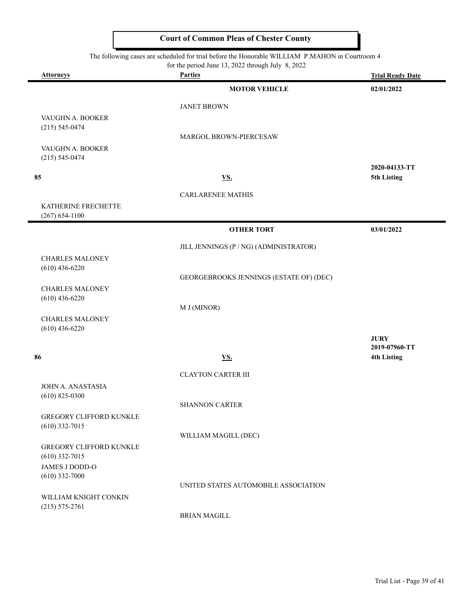The following cases are scheduled for trial before the Honorable WILLIAM P.MAHON in Courtroom 4

|                                                    | for the period June 13, 2022 through July $8, 2022$ |                              |  |
|----------------------------------------------------|-----------------------------------------------------|------------------------------|--|
| <b>Attorneys</b>                                   | <b>Parties</b>                                      | <b>Trial Ready Date</b>      |  |
|                                                    | <b>MOTOR VEHICLE</b>                                | 02/01/2022                   |  |
|                                                    | <b>JANET BROWN</b>                                  |                              |  |
| VAUGHN A. BOOKER                                   |                                                     |                              |  |
| $(215) 545 - 0474$                                 | MARGOL BROWN-PIERCESAW                              |                              |  |
| VAUGHN A. BOOKER                                   |                                                     |                              |  |
| $(215) 545 - 0474$                                 |                                                     |                              |  |
| 85                                                 | <b>VS.</b>                                          | 2020-04133-TT<br>5th Listing |  |
|                                                    |                                                     |                              |  |
|                                                    | <b>CARLARENEE MATHIS</b>                            |                              |  |
| KATHERINE FRECHETTE<br>$(267) 654 - 1100$          |                                                     |                              |  |
|                                                    | <b>OTHER TORT</b>                                   | 03/01/2022                   |  |
|                                                    |                                                     |                              |  |
|                                                    | JILL JENNINGS (P / NG) (ADMINISTRATOR)              |                              |  |
| <b>CHARLES MALONEY</b><br>$(610)$ 436-6220         |                                                     |                              |  |
|                                                    | GEORGEBROOKS JENNINGS (ESTATE OF) (DEC)             |                              |  |
| <b>CHARLES MALONEY</b>                             |                                                     |                              |  |
| $(610)$ 436-6220                                   | M J (MINOR)                                         |                              |  |
| <b>CHARLES MALONEY</b>                             |                                                     |                              |  |
| $(610)$ 436-6220                                   |                                                     |                              |  |
|                                                    |                                                     | <b>JURY</b><br>2019-07960-TT |  |
| 86                                                 | <b>VS.</b>                                          | <b>4th Listing</b>           |  |
|                                                    | <b>CLAYTON CARTER III</b>                           |                              |  |
| JOHN A. ANASTASIA                                  |                                                     |                              |  |
| $(610)$ 825-0300                                   |                                                     |                              |  |
|                                                    | SHANNON CARTER                                      |                              |  |
| <b>GREGORY CLIFFORD KUNKLE</b><br>$(610)$ 332-7015 |                                                     |                              |  |
|                                                    | WILLIAM MAGILL (DEC)                                |                              |  |
| <b>GREGORY CLIFFORD KUNKLE</b><br>$(610)$ 332-7015 |                                                     |                              |  |
| JAMES J DODD-O                                     |                                                     |                              |  |
| $(610)$ 332-7000                                   | UNITED STATES AUTOMOBILE ASSOCIATION                |                              |  |
| WILLIAM KNIGHT CONKIN                              |                                                     |                              |  |
| $(215) 575 - 2761$                                 |                                                     |                              |  |
|                                                    | <b>BRIAN MAGILL</b>                                 |                              |  |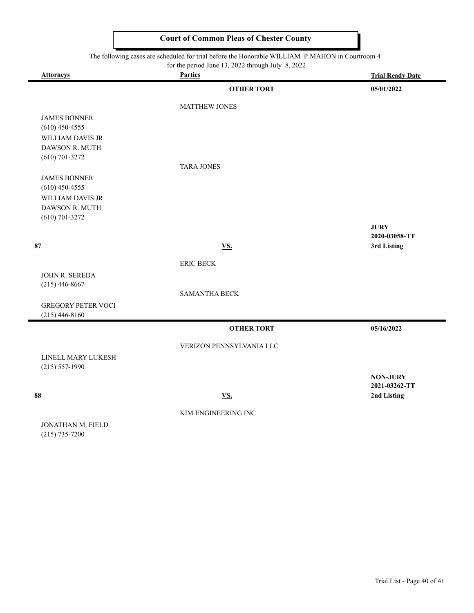|                                                                                                                                                      | <b>Court of Common Pleas of Chester County</b> |                                  |  |  |
|------------------------------------------------------------------------------------------------------------------------------------------------------|------------------------------------------------|----------------------------------|--|--|
| The following cases are scheduled for trial before the Honorable WILLIAM P.MAHON in Courtroom 4<br>for the period June 13, 2022 through July 8, 2022 |                                                |                                  |  |  |
| <b>Attorneys</b>                                                                                                                                     | <b>Parties</b>                                 | <b>Trial Ready Date</b>          |  |  |
|                                                                                                                                                      | <b>OTHER TORT</b>                              | 05/01/2022                       |  |  |
|                                                                                                                                                      | <b>MATTHEW JONES</b>                           |                                  |  |  |
| <b>JAMES BONNER</b><br>$(610)$ 450-4555                                                                                                              |                                                |                                  |  |  |
| WILLIAM DAVIS JR<br>DAWSON R. MUTH                                                                                                                   |                                                |                                  |  |  |
| $(610)$ 701-3272                                                                                                                                     | <b>TARA JONES</b>                              |                                  |  |  |
| <b>JAMES BONNER</b><br>$(610)$ 450-4555                                                                                                              |                                                |                                  |  |  |
| <b>WILLIAM DAVIS JR</b><br>DAWSON R. MUTH<br>$(610)$ 701-3272                                                                                        |                                                |                                  |  |  |
|                                                                                                                                                      |                                                | <b>JURY</b><br>2020-03058-TT     |  |  |
| 87                                                                                                                                                   | <b>VS.</b>                                     | 3rd Listing                      |  |  |
|                                                                                                                                                      | <b>ERIC BECK</b>                               |                                  |  |  |
| JOHN R. SEREDA<br>$(215)$ 446-8667                                                                                                                   |                                                |                                  |  |  |
|                                                                                                                                                      | <b>SAMANTHA BECK</b>                           |                                  |  |  |
| <b>GREGORY PETER VOCI</b><br>$(215)$ 446-8160                                                                                                        |                                                |                                  |  |  |
|                                                                                                                                                      | <b>OTHER TORT</b>                              | 05/16/2022                       |  |  |
|                                                                                                                                                      | VERIZON PENNSYLVANIA LLC                       |                                  |  |  |
| LINELL MARY LUKESH<br>$(215) 557 - 1990$                                                                                                             |                                                |                                  |  |  |
|                                                                                                                                                      |                                                | <b>NON-JURY</b><br>2021-03262-TT |  |  |
| 88                                                                                                                                                   | <u>VS.</u>                                     | 2nd Listing                      |  |  |
|                                                                                                                                                      | KIM ENGINEERING INC                            |                                  |  |  |
| <b>JONATHAN M. FIELD</b>                                                                                                                             |                                                |                                  |  |  |

(215) 735-7200